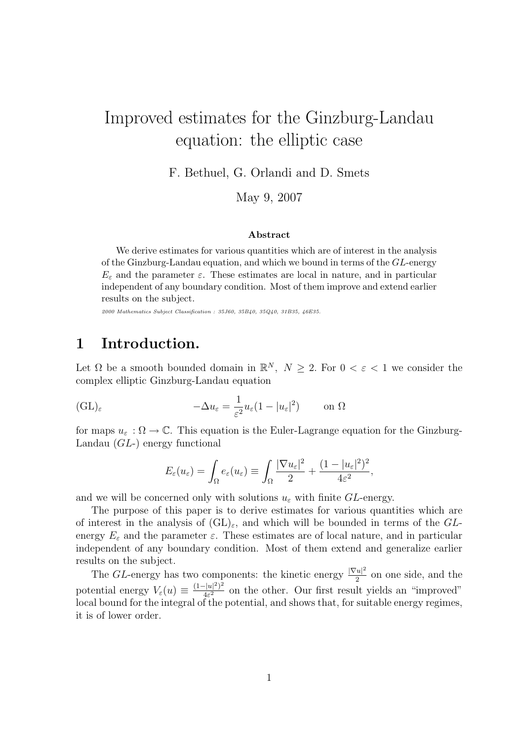# Improved estimates for the Ginzburg-Landau equation: the elliptic case

F. Bethuel, G. Orlandi and D. Smets

May 9, 2007

#### Abstract

We derive estimates for various quantities which are of interest in the analysis of the Ginzburg-Landau equation, and which we bound in terms of the GL-energy  $E_{\varepsilon}$  and the parameter  $\varepsilon$ . These estimates are local in nature, and in particular independent of any boundary condition. Most of them improve and extend earlier results on the subject.

2000 Mathematics Subject Classification : 35J60, 35B40, 35Q40, 31B35, 46E35.

## 1 Introduction.

Let  $\Omega$  be a smooth bounded domain in  $\mathbb{R}^N$ ,  $N \geq 2$ . For  $0 < \varepsilon < 1$  we consider the complex elliptic Ginzburg-Landau equation

$$
(\mathrm{GL})_{\varepsilon} \qquad -\Delta u_{\varepsilon} = \frac{1}{\varepsilon^2} u_{\varepsilon} (1 - |u_{\varepsilon}|^2) \qquad \text{on } \Omega
$$

for maps  $u_{\varepsilon}: \Omega \to \mathbb{C}$ . This equation is the Euler-Lagrange equation for the Ginzburg-Landau (GL-) energy functional

$$
E_{\varepsilon}(u_{\varepsilon}) = \int_{\Omega} e_{\varepsilon}(u_{\varepsilon}) \equiv \int_{\Omega} \frac{|\nabla u_{\varepsilon}|^2}{2} + \frac{(1 - |u_{\varepsilon}|^2)^2}{4\varepsilon^2},
$$

and we will be concerned only with solutions  $u_{\varepsilon}$  with finite GL-energy.

The purpose of this paper is to derive estimates for various quantities which are of interest in the analysis of  $(GL)_{\varepsilon}$ , and which will be bounded in terms of the GLenergy  $E_{\varepsilon}$  and the parameter  $\varepsilon$ . These estimates are of local nature, and in particular independent of any boundary condition. Most of them extend and generalize earlier results on the subject.

The GL-energy has two components: the kinetic energy  $\frac{|\nabla u|^2}{2}$  $\frac{2}{2}$  on one side, and the potential energy  $V_{\varepsilon}(u) \equiv \frac{(1-|u|^2)^2}{4\varepsilon^2}$  $\frac{(-|u|^2)^2}{4\varepsilon^2}$  on the other. Our first result yields an "improved" local bound for the integral of the potential, and shows that, for suitable energy regimes, it is of lower order.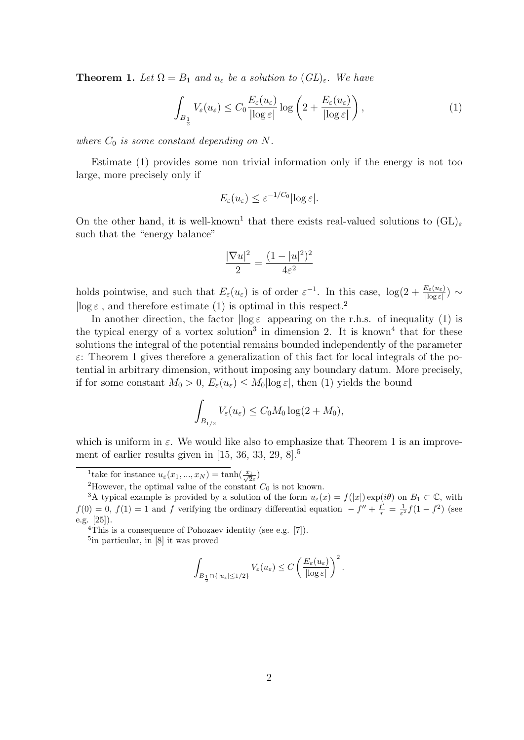**Theorem 1.** Let  $\Omega = B_1$  and  $u_{\varepsilon}$  be a solution to  $(GL)_{\varepsilon}$ . We have

$$
\int_{B_{\frac{1}{2}}} V_{\varepsilon}(u_{\varepsilon}) \leq C_0 \frac{E_{\varepsilon}(u_{\varepsilon})}{|\log \varepsilon|} \log \left( 2 + \frac{E_{\varepsilon}(u_{\varepsilon})}{|\log \varepsilon|} \right),\tag{1}
$$

where  $C_0$  is some constant depending on N.

Estimate (1) provides some non trivial information only if the energy is not too large, more precisely only if

$$
E_{\varepsilon}(u_{\varepsilon}) \leq \varepsilon^{-1/C_0} |\log \varepsilon|.
$$

On the other hand, it is well-known<sup>1</sup> that there exists real-valued solutions to  $(GL)_{\varepsilon}$ such that the "energy balance"

$$
\frac{|\nabla u|^2}{2} = \frac{(1 - |u|^2)^2}{4\varepsilon^2}
$$

holds pointwise, and such that  $E_{\varepsilon}(u_{\varepsilon})$  is of order  $\varepsilon^{-1}$ . In this case,  $\log(2 + \frac{E_{\varepsilon}(u_{\varepsilon})}{|\log \varepsilon|}) \sim$  $|\log \varepsilon|$ , and therefore estimate (1) is optimal in this respect.<sup>2</sup>

In another direction, the factor  $\log \varepsilon$  appearing on the r.h.s. of inequality (1) is the typical energy of a vortex solution<sup>3</sup> in dimension 2. It is known<sup>4</sup> that for these solutions the integral of the potential remains bounded independently of the parameter  $\varepsilon$ : Theorem 1 gives therefore a generalization of this fact for local integrals of the potential in arbitrary dimension, without imposing any boundary datum. More precisely, if for some constant  $M_0 > 0$ ,  $E_\varepsilon(u_\varepsilon) \leq M_0 |\log \varepsilon|$ , then (1) yields the bound

$$
\int_{B_{1/2}} V_{\varepsilon}(u_{\varepsilon}) \leq C_0 M_0 \log(2 + M_0),
$$

which is uniform in  $\varepsilon$ . We would like also to emphasize that Theorem 1 is an improvement of earlier results given in  $[15, 36, 33, 29, 8]$ <sup>5</sup>

<sup>2</sup>However, the optimal value of the constant  $C_0$  is not known.

5 in particular, in [8] it was proved

$$
\int_{B_{\frac{1}{2}} \cap \{|u_{\varepsilon}| \le 1/2\}} V_{\varepsilon}(u_{\varepsilon}) \le C \left( \frac{E_{\varepsilon}(u_{\varepsilon})}{|\log \varepsilon|} \right)^2.
$$

<sup>&</sup>lt;sup>1</sup>take for instance  $u_{\varepsilon}(x_1, ..., x_N) = \tanh(\frac{x_1}{\sqrt{2}\varepsilon})$ 

<sup>&</sup>lt;sup>3</sup>A typical example is provided by a solution of the form  $u_{\varepsilon}(x) = f(|x|) \exp(i\theta)$  on  $B_1 \subset \mathbb{C}$ , with  $f(0) = 0, f(1) = 1$  and f verifying the ordinary differential equation  $-f'' + \frac{f'}{r} = \frac{1}{\varepsilon^2} f(1 - f^2)$  (see e.g. [25]).

 $4$ This is a consequence of Pohozaev identity (see e.g. [7]).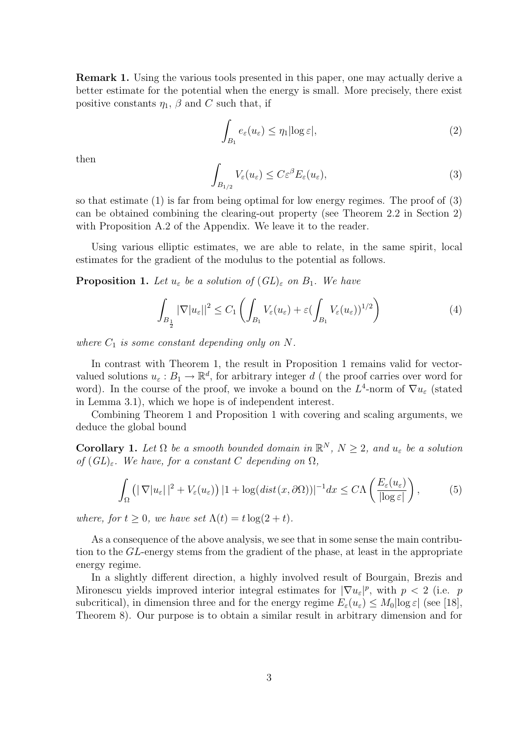Remark 1. Using the various tools presented in this paper, one may actually derive a better estimate for the potential when the energy is small. More precisely, there exist positive constants  $\eta_1$ ,  $\beta$  and C such that, if

$$
\int_{B_1} e_{\varepsilon}(u_{\varepsilon}) \le \eta_1 |\log \varepsilon|,
$$
\n(2)

then

$$
\int_{B_{1/2}} V_{\varepsilon}(u_{\varepsilon}) \le C \varepsilon^{\beta} E_{\varepsilon}(u_{\varepsilon}), \tag{3}
$$

so that estimate (1) is far from being optimal for low energy regimes. The proof of (3) can be obtained combining the clearing-out property (see Theorem 2.2 in Section 2) with Proposition A.2 of the Appendix. We leave it to the reader.

Using various elliptic estimates, we are able to relate, in the same spirit, local estimates for the gradient of the modulus to the potential as follows.

**Proposition 1.** Let  $u_{\varepsilon}$  be a solution of  $(GL)_{\varepsilon}$  on  $B_1$ . We have

$$
\int_{B_{\frac{1}{2}}} |\nabla |u_{\varepsilon}||^2 \le C_1 \left( \int_{B_1} V_{\varepsilon}(u_{\varepsilon}) + \varepsilon (\int_{B_1} V_{\varepsilon}(u_{\varepsilon}))^{1/2} \right) \tag{4}
$$

where  $C_1$  is some constant depending only on N.

In contrast with Theorem 1, the result in Proposition 1 remains valid for vectorvalued solutions  $u_{\varepsilon}: B_1 \to \mathbb{R}^d$ , for arbitrary integer d ( the proof carries over word for word). In the course of the proof, we invoke a bound on the  $L^4$ -norm of  $\nabla u_{\varepsilon}$  (stated in Lemma 3.1), which we hope is of independent interest.

Combining Theorem 1 and Proposition 1 with covering and scaling arguments, we deduce the global bound

**Corollary 1.** Let  $\Omega$  be a smooth bounded domain in  $\mathbb{R}^N$ ,  $N \geq 2$ , and  $u_{\varepsilon}$  be a solution of  $(GL)_{\varepsilon}$ . We have, for a constant C depending on  $\Omega$ ,

$$
\int_{\Omega} \left( |\nabla |u_{\varepsilon}| \, |^{2} + V_{\varepsilon}(u_{\varepsilon}) \right) |1 + \log(\operatorname{dist}(x, \partial \Omega))|^{-1} dx \le C\Lambda \left( \frac{E_{\varepsilon}(u_{\varepsilon})}{|\log \varepsilon|} \right),\tag{5}
$$

where, for  $t \geq 0$ , we have set  $\Lambda(t) = t \log(2 + t)$ .

As a consequence of the above analysis, we see that in some sense the main contribution to the GL-energy stems from the gradient of the phase, at least in the appropriate energy regime.

In a slightly different direction, a highly involved result of Bourgain, Brezis and Mironescu yields improved interior integral estimates for  $|\nabla u_{\varepsilon}|^p$ , with  $p < 2$  (i.e. p subcritical), in dimension three and for the energy regime  $E_{\varepsilon}(u_{\varepsilon}) \leq M_0 |\log \varepsilon|$  (see [18], Theorem 8). Our purpose is to obtain a similar result in arbitrary dimension and for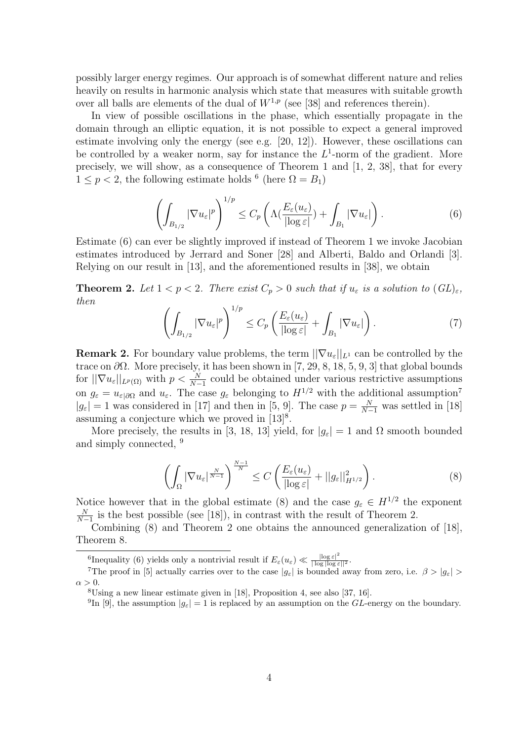possibly larger energy regimes. Our approach is of somewhat different nature and relies heavily on results in harmonic analysis which state that measures with suitable growth over all balls are elements of the dual of  $W^{1,p}$  (see [38] and references therein).

In view of possible oscillations in the phase, which essentially propagate in the domain through an elliptic equation, it is not possible to expect a general improved estimate involving only the energy (see e.g. [20, 12]). However, these oscillations can be controlled by a weaker norm, say for instance the  $L^1$ -norm of the gradient. More precisely, we will show, as a consequence of Theorem 1 and [1, 2, 38], that for every  $1 \leq p < 2$ , the following estimate holds <sup>6</sup> (here  $\Omega = B_1$ )

$$
\left(\int_{B_{1/2}} |\nabla u_{\varepsilon}|^p \right)^{1/p} \le C_p \left( \Lambda(\frac{E_{\varepsilon}(u_{\varepsilon})}{|\log \varepsilon|}) + \int_{B_1} |\nabla u_{\varepsilon}| \right). \tag{6}
$$

Estimate (6) can ever be slightly improved if instead of Theorem 1 we invoke Jacobian estimates introduced by Jerrard and Soner [28] and Alberti, Baldo and Orlandi [3]. Relying on our result in [13], and the aforementioned results in [38], we obtain

**Theorem 2.** Let  $1 < p < 2$ . There exist  $C_p > 0$  such that if  $u_{\varepsilon}$  is a solution to  $(GL)_{\varepsilon}$ , then

$$
\left(\int_{B_{1/2}} |\nabla u_{\varepsilon}|^p \right)^{1/p} \le C_p \left( \frac{E_{\varepsilon}(u_{\varepsilon})}{|\log \varepsilon|} + \int_{B_1} |\nabla u_{\varepsilon}| \right). \tag{7}
$$

**Remark 2.** For boundary value problems, the term  $||\nabla u_{\varepsilon}||_{L^1}$  can be controlled by the trace on  $\partial\Omega$ . More precisely, it has been shown in [7, 29, 8, 18, 5, 9, 3] that global bounds for  $||\nabla u_{\varepsilon}||_{L^p(\Omega)}$  with  $p < \frac{N}{N-1}$  could be obtained under various restrictive assumptions on  $g_{\varepsilon} = u_{\varepsilon|\partial\Omega}$  and  $u_{\varepsilon}$ . The case  $g_{\varepsilon}$  belonging to  $H^{1/2}$  with the additional assumption<sup>7</sup>  $|g_{\varepsilon}| = 1$  was considered in [17] and then in [5, 9]. The case  $p = \frac{N}{N-1}$  was settled in [18] assuming a conjecture which we proved in  $[13]^{8}$ .

More precisely, the results in [3, 18, 13] yield, for  $|g_{\varepsilon}| = 1$  and  $\Omega$  smooth bounded and simply connected, <sup>9</sup>

$$
\left(\int_{\Omega} |\nabla u_{\varepsilon}|^{\frac{N}{N-1}} \right)^{\frac{N-1}{N}} \leq C \left(\frac{E_{\varepsilon}(u_{\varepsilon})}{|\log \varepsilon|} + ||g_{\varepsilon}||_{H^{1/2}}^2\right).
$$
\n(8)

Notice however that in the global estimate (8) and the case  $g_{\varepsilon} \in H^{1/2}$  the exponent N  $\frac{N}{N-1}$  is the best possible (see [18]), in contrast with the result of Theorem 2.

Combining (8) and Theorem 2 one obtains the announced generalization of [18], Theorem 8.

<sup>&</sup>lt;sup>6</sup>Inequality (6) yields only a nontrivial result if  $E_{\varepsilon}(u_{\varepsilon}) \ll \frac{|\log \varepsilon|^2}{|\log |\log \varepsilon||^2}$ .

<sup>&</sup>lt;sup>7</sup>The proof in [5] actually carries over to the case  $|g_{\varepsilon}|$  is bounded away from zero, i.e.  $\beta > |g_{\varepsilon}| >$  $\alpha > 0$ .

<sup>8</sup>Using a new linear estimate given in [18], Proposition 4, see also [37, 16].

<sup>&</sup>lt;sup>9</sup>In [9], the assumption  $|g_{\varepsilon}| = 1$  is replaced by an assumption on the *GL*-energy on the boundary.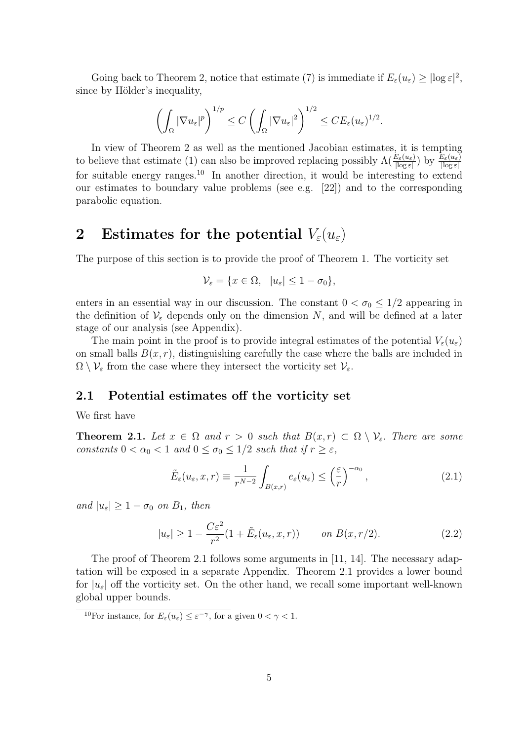Going back to Theorem 2, notice that estimate (7) is immediate if  $E_{\varepsilon}(u_{\varepsilon}) \geq |\log \varepsilon|^2$ , since by Hölder's inequality,

$$
\left(\int_{\Omega}|\nabla u_{\varepsilon}|^{p}\right)^{1/p}\leq C\left(\int_{\Omega}|\nabla u_{\varepsilon}|^{2}\right)^{1/2}\leq CE_{\varepsilon}(u_{\varepsilon})^{1/2}.
$$

In view of Theorem 2 as well as the mentioned Jacobian estimates, it is tempting to believe that estimate (1) can also be improved replacing possibly  $\Lambda(\frac{E_{\varepsilon}(u_{\varepsilon})}{|\log \varepsilon|})$  by  $\frac{E_{\varepsilon}(u_{\varepsilon})}{|\log \varepsilon|}$ for suitable energy ranges.<sup>10</sup> In another direction, it would be interesting to extend our estimates to boundary value problems (see e.g. [22]) and to the corresponding parabolic equation.

# 2 Estimates for the potential  $V_{\varepsilon}(u_{\varepsilon})$

The purpose of this section is to provide the proof of Theorem 1. The vorticity set

$$
\mathcal{V}_{\varepsilon} = \{ x \in \Omega, \ |u_{\varepsilon}| \le 1 - \sigma_0 \},
$$

enters in an essential way in our discussion. The constant  $0 < \sigma_0 \leq 1/2$  appearing in the definition of  $\mathcal{V}_{\varepsilon}$  depends only on the dimension N, and will be defined at a later stage of our analysis (see Appendix).

The main point in the proof is to provide integral estimates of the potential  $V_{\varepsilon}(u_{\varepsilon})$ on small balls  $B(x, r)$ , distinguishing carefully the case where the balls are included in  $\Omega \setminus \mathcal{V}_{\varepsilon}$  from the case where they intersect the vorticity set  $\mathcal{V}_{\varepsilon}$ .

### 2.1 Potential estimates off the vorticity set

We first have

**Theorem 2.1.** Let  $x \in \Omega$  and  $r > 0$  such that  $B(x,r) \subset \Omega \setminus \mathcal{V}_{\varepsilon}$ . There are some constants  $0 < \alpha_0 < 1$  and  $0 \le \sigma_0 \le 1/2$  such that if  $r \ge \varepsilon$ ,

$$
\tilde{E}_{\varepsilon}(u_{\varepsilon}, x, r) \equiv \frac{1}{r^{N-2}} \int_{B(x, r)} e_{\varepsilon}(u_{\varepsilon}) \leq \left(\frac{\varepsilon}{r}\right)^{-\alpha_0}, \tag{2.1}
$$

and  $|u_{\varepsilon}| \geq 1 - \sigma_0$  on  $B_1$ , then

$$
|u_{\varepsilon}| \ge 1 - \frac{C\varepsilon^2}{r^2} (1 + \tilde{E}_{\varepsilon}(u_{\varepsilon}, x, r)) \qquad on \ B(x, r/2). \tag{2.2}
$$

The proof of Theorem 2.1 follows some arguments in [11, 14]. The necessary adaptation will be exposed in a separate Appendix. Theorem 2.1 provides a lower bound for  $|u_{\varepsilon}|$  off the vorticity set. On the other hand, we recall some important well-known global upper bounds.

<sup>&</sup>lt;sup>10</sup>For instance, for  $E_{\varepsilon}(u_{\varepsilon}) \leq \varepsilon^{-\gamma}$ , for a given  $0 < \gamma < 1$ .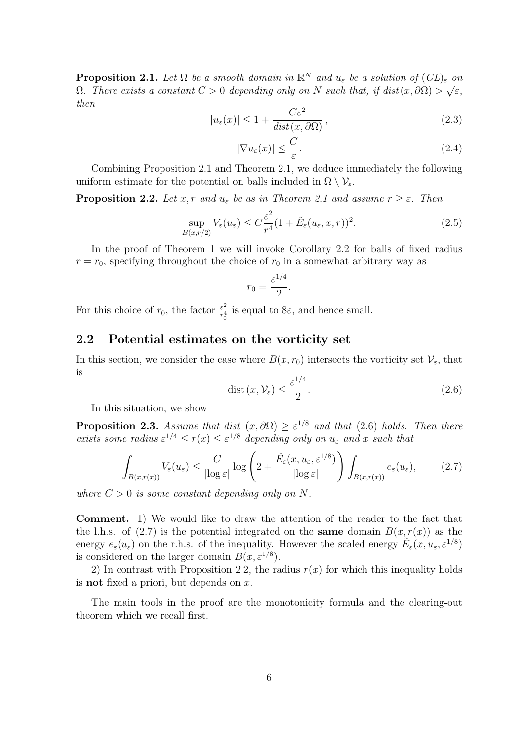**Proposition 2.1.** Let  $\Omega$  be a smooth domain in  $\mathbb{R}^N$  and  $u_{\varepsilon}$  be a solution of  $(GL)_{\varepsilon}$  on  $\Omega$ . There exists a constant  $C > 0$  depending only on N such that, if  $dist(x, \partial \Omega) > \sqrt{\varepsilon}$ , then

$$
|u_{\varepsilon}(x)| \le 1 + \frac{C\varepsilon^2}{\operatorname{dist}(x, \partial \Omega)},
$$
\n(2.3)

$$
|\nabla u_{\varepsilon}(x)| \leq \frac{C}{\varepsilon}.\tag{2.4}
$$

Combining Proposition 2.1 and Theorem 2.1, we deduce immediately the following uniform estimate for the potential on balls included in  $\Omega \setminus \mathcal{V}_{\varepsilon}$ .

**Proposition 2.2.** Let x, r and  $u_{\varepsilon}$  be as in Theorem 2.1 and assume  $r \geq \varepsilon$ . Then

$$
\sup_{B(x,r/2)} V_{\varepsilon}(u_{\varepsilon}) \le C \frac{\varepsilon^2}{r^4} (1 + \tilde{E}_{\varepsilon}(u_{\varepsilon}, x, r))^2.
$$
\n(2.5)

In the proof of Theorem 1 we will invoke Corollary 2.2 for balls of fixed radius  $r = r_0$ , specifying throughout the choice of  $r_0$  in a somewhat arbitrary way as

$$
r_0 = \frac{\varepsilon^{1/4}}{2}.
$$

For this choice of  $r_0$ , the factor  $\frac{\varepsilon^2}{r_0^4}$  $\frac{\varepsilon^2}{r_0^4}$  is equal to  $8\varepsilon$ , and hence small.

### 2.2 Potential estimates on the vorticity set

In this section, we consider the case where  $B(x, r_0)$  intersects the vorticity set  $\mathcal{V}_{\varepsilon}$ , that is

$$
\text{dist}\left(x,\mathcal{V}_{\varepsilon}\right) \le \frac{\varepsilon^{1/4}}{2}.\tag{2.6}
$$

In this situation, we show

**Proposition 2.3.** Assume that dist  $(x, \partial\Omega) \geq \varepsilon^{1/8}$  and that (2.6) holds. Then there exists some radius  $\varepsilon^{1/4} \le r(x) \le \varepsilon^{1/8}$  depending only on  $u_{\varepsilon}$  and x such that

$$
\int_{B(x,r(x))} V_{\varepsilon}(u_{\varepsilon}) \leq \frac{C}{|\log \varepsilon|} \log \left( 2 + \frac{\tilde{E}_{\varepsilon}(x, u_{\varepsilon}, \varepsilon^{1/8})}{|\log \varepsilon|} \right) \int_{B(x,r(x))} e_{\varepsilon}(u_{\varepsilon}), \tag{2.7}
$$

where  $C > 0$  is some constant depending only on N.

Comment. 1) We would like to draw the attention of the reader to the fact that the l.h.s. of (2.7) is the potential integrated on the **same** domain  $B(x, r(x))$  as the energy  $e_{\varepsilon}(u_{\varepsilon})$  on the r.h.s. of the inequality. However the scaled energy  $\tilde{E}_{\varepsilon}(x, u_{\varepsilon}, \varepsilon^{1/8})$ is considered on the larger domain  $B(x, \varepsilon^{1/8})$ .

2) In contrast with Proposition 2.2, the radius  $r(x)$  for which this inequality holds is **not** fixed a priori, but depends on  $x$ .

The main tools in the proof are the monotonicity formula and the clearing-out theorem which we recall first.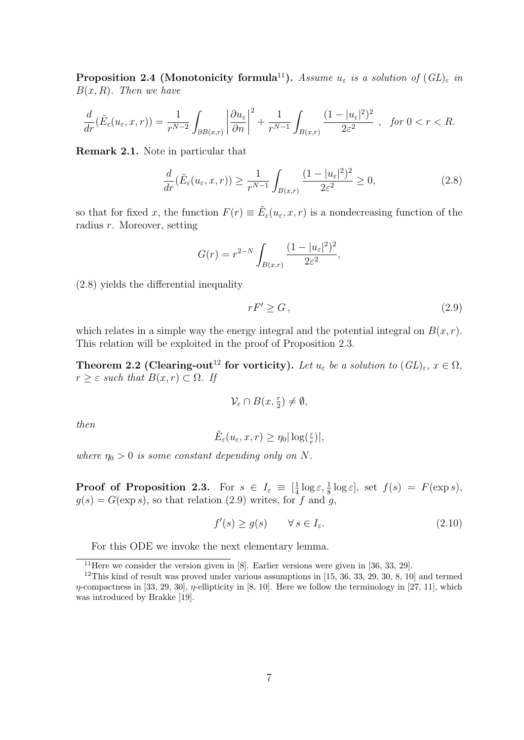**Proposition 2.4 (Monotonicity formula**<sup>11</sup>). Assume  $u_{\varepsilon}$  is a solution of  $(GL)_{\varepsilon}$  in  $B(x, R)$ . Then we have

$$
\frac{d}{dr}(\tilde{E}_{\varepsilon}(u_{\varepsilon},x,r))=\frac{1}{r^{N-2}}\int_{\partial B(x,r)}\left|\frac{\partial u_{\varepsilon}}{\partial n}\right|^2+\frac{1}{r^{N-1}}\int_{B(x,r)}\frac{(1-|u_{\varepsilon}|^2)^2}{2\varepsilon^2},\quad\text{for }0
$$

Remark 2.1. Note in particular that

$$
\frac{d}{dr}(\tilde{E}_{\varepsilon}(u_{\varepsilon},x,r)) \ge \frac{1}{r^{N-1}} \int_{B(x,r)} \frac{(1-|u_{\varepsilon}|^2)^2}{2\varepsilon^2} \ge 0,
$$
\n(2.8)

so that for fixed x, the function  $F(r) \equiv \tilde{E}_{\varepsilon}(u_{\varepsilon}, x, r)$  is a nondecreasing function of the radius r. Moreover, setting

$$
G(r) = r^{2-N} \int_{B(x,r)} \frac{(1 - |u_{\varepsilon}|^2)^2}{2\varepsilon^2},
$$

(2.8) yields the differential inequality

$$
rF' \ge G\,,\tag{2.9}
$$

which relates in a simple way the energy integral and the potential integral on  $B(x, r)$ . This relation will be exploited in the proof of Proposition 2.3.

**Theorem 2.2 (Clearing-out**<sup>12</sup> for vorticity). Let  $u_{\varepsilon}$  be a solution to  $(GL)_{\varepsilon}$ ,  $x \in \Omega$ ,  $r \geq \varepsilon$  such that  $B(x,r) \subset \Omega$ . If

$$
\mathcal{V}_{\varepsilon} \cap B(x, \tfrac{r}{2}) \neq \emptyset,
$$

then

$$
\tilde{E}_{\varepsilon}(u_{\varepsilon}, x, r) \ge \eta_0 |\log(\frac{\varepsilon}{r})|,
$$

where  $\eta_0 > 0$  is some constant depending only on N.

**Proof of Proposition 2.3.** For  $s \in I_{\varepsilon} \equiv \left[\frac{1}{4}\right]$  $\frac{1}{4} \log \varepsilon, \frac{1}{8} \log \varepsilon$ , set  $f(s) = F(\exp s)$ ,  $q(s) = G(\exp s)$ , so that relation (2.9) writes, for f and q,

$$
f'(s) \ge g(s) \qquad \forall \, s \in I_{\varepsilon}.\tag{2.10}
$$

For this ODE we invoke the next elementary lemma.

<sup>&</sup>lt;sup>11</sup>Here we consider the version given in [8]. Earlier versions were given in [36, 33, 29].

 $12$ This kind of result was proved under various assumptions in [15, 36, 33, 29, 30, 8, 10] and termed  $\eta$ -compactness in [33, 29, 30],  $\eta$ -ellipticity in [8, 10]. Here we follow the terminology in [27, 11], which was introduced by Brakke [19].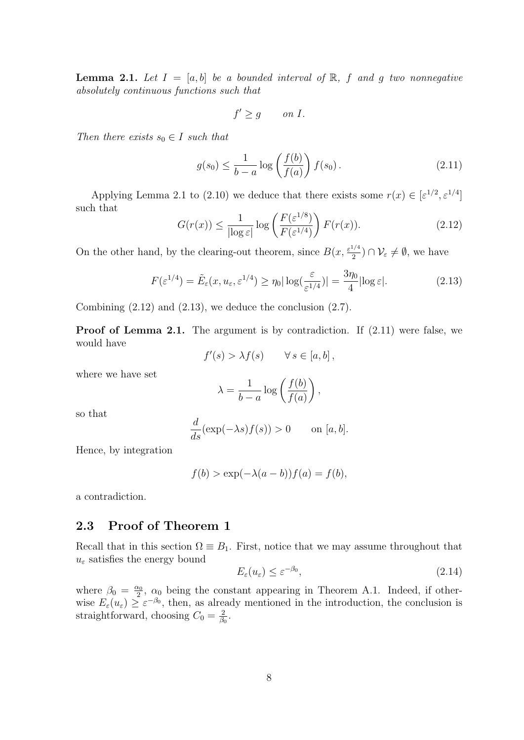**Lemma 2.1.** Let  $I = [a, b]$  be a bounded interval of  $\mathbb{R}$ , f and g two nonnegative absolutely continuous functions such that

$$
f' \ge g \qquad on \ I.
$$

Then there exists  $s_0 \in I$  such that

$$
g(s_0) \le \frac{1}{b-a} \log \left( \frac{f(b)}{f(a)} \right) f(s_0).
$$
 (2.11)

Applying Lemma 2.1 to (2.10) we deduce that there exists some  $r(x) \in [\varepsilon^{1/2}, \varepsilon^{1/4}]$ such that

$$
G(r(x)) \le \frac{1}{|\log \varepsilon|} \log \left( \frac{F(\varepsilon^{1/8})}{F(\varepsilon^{1/4})} \right) F(r(x)). \tag{2.12}
$$

On the other hand, by the clearing-out theorem, since  $B(x, \frac{\varepsilon^{1/4}}{2})$  $\frac{1}{2}$ )  $\cap \mathcal{V}_{\varepsilon} \neq \emptyset$ , we have

$$
F(\varepsilon^{1/4}) = \tilde{E}_{\varepsilon}(x, u_{\varepsilon}, \varepsilon^{1/4}) \ge \eta_0 |\log(\frac{\varepsilon}{\varepsilon^{1/4}})| = \frac{3\eta_0}{4} |\log \varepsilon|.
$$
 (2.13)

Combining  $(2.12)$  and  $(2.13)$ , we deduce the conclusion  $(2.7)$ .

**Proof of Lemma 2.1.** The argument is by contradiction. If  $(2.11)$  were false, we would have

$$
f'(s) > \lambda f(s) \qquad \forall s \in [a, b],
$$

where we have set

$$
\lambda = \frac{1}{b-a} \log \left( \frac{f(b)}{f(a)} \right),\,
$$

so that

$$
\frac{d}{ds}(\exp(-\lambda s)f(s)) > 0 \quad \text{on } [a, b].
$$

Hence, by integration

$$
f(b) > \exp(-\lambda(a-b))f(a) = f(b),
$$

a contradiction.

## 2.3 Proof of Theorem 1

Recall that in this section  $\Omega \equiv B_1$ . First, notice that we may assume throughout that  $u_{\varepsilon}$  satisfies the energy bound

$$
E_{\varepsilon}(u_{\varepsilon}) \le \varepsilon^{-\beta_0},\tag{2.14}
$$

where  $\beta_0 = \frac{\alpha_0}{2}$  $\frac{\alpha_0}{2}$ ,  $\alpha_0$  being the constant appearing in Theorem A.1. Indeed, if otherwise  $E_{\varepsilon}(u_{\varepsilon}) \geq \varepsilon^{-\beta_0}$ , then, as already mentioned in the introduction, the conclusion is straightforward, choosing  $C_0 = \frac{2}{\beta}$  $\frac{2}{\beta_0}$  .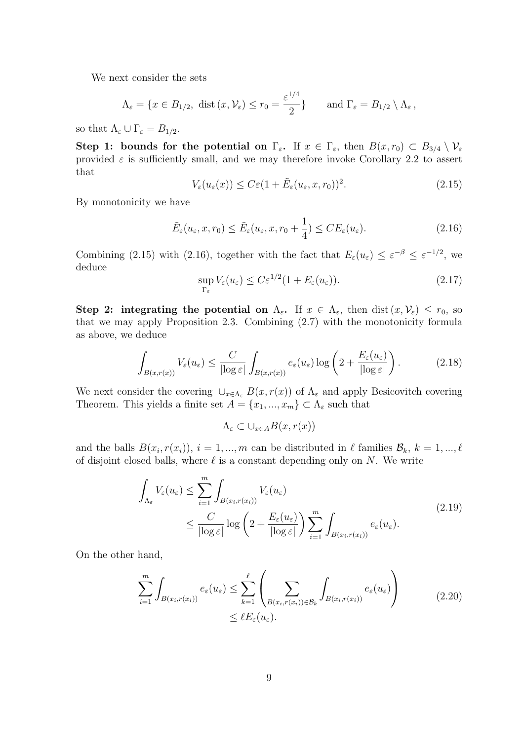We next consider the sets

$$
\Lambda_{\varepsilon} = \{x \in B_{1/2}, \text{ dist}(x, \mathcal{V}_{\varepsilon}) \le r_0 = \frac{\varepsilon^{1/4}}{2}\}\
$$
 and  $\Gamma_{\varepsilon} = B_{1/2} \setminus \Lambda_{\varepsilon}$ ,

so that  $\Lambda_{\varepsilon} \cup \Gamma_{\varepsilon} = B_{1/2}$ .

Step 1: bounds for the potential on  $\Gamma_{\varepsilon}$ . If  $x \in \Gamma_{\varepsilon}$ , then  $B(x, r_0) \subset B_{3/4} \setminus \mathcal{V}_{\varepsilon}$ provided  $\varepsilon$  is sufficiently small, and we may therefore invoke Corollary 2.2 to assert that

$$
V_{\varepsilon}(u_{\varepsilon}(x)) \leq C\varepsilon (1 + \tilde{E}_{\varepsilon}(u_{\varepsilon}, x, r_0))^2. \tag{2.15}
$$

By monotonicity we have

$$
\tilde{E}_{\varepsilon}(u_{\varepsilon}, x, r_0) \le \tilde{E}_{\varepsilon}(u_{\varepsilon}, x, r_0 + \frac{1}{4}) \le CE_{\varepsilon}(u_{\varepsilon}). \tag{2.16}
$$

Combining (2.15) with (2.16), together with the fact that  $E_{\varepsilon}(u_{\varepsilon}) \leq \varepsilon^{-\beta} \leq \varepsilon^{-1/2}$ , we deduce

$$
\sup_{\Gamma_{\varepsilon}} V_{\varepsilon}(u_{\varepsilon}) \leq C \varepsilon^{1/2} (1 + E_{\varepsilon}(u_{\varepsilon})). \tag{2.17}
$$

Step 2: integrating the potential on  $\Lambda_{\varepsilon}$ . If  $x \in \Lambda_{\varepsilon}$ , then  $dist(x, \mathcal{V}_{\varepsilon}) \leq r_0$ , so that we may apply Proposition 2.3. Combining (2.7) with the monotonicity formula as above, we deduce

$$
\int_{B(x,r(x))} V_{\varepsilon}(u_{\varepsilon}) \leq \frac{C}{|\log \varepsilon|} \int_{B(x,r(x))} e_{\varepsilon}(u_{\varepsilon}) \log \left(2 + \frac{E_{\varepsilon}(u_{\varepsilon})}{|\log \varepsilon|}\right).
$$
\n(2.18)

We next consider the covering  $\cup_{x\in\Lambda_{\varepsilon}} B(x, r(x))$  of  $\Lambda_{\varepsilon}$  and apply Besicovitch covering Theorem. This yields a finite set  $A = \{x_1, ..., x_m\} \subset \Lambda_{\varepsilon}$  such that

 $\Lambda_{\varepsilon} \subset \cup_{x \in A} B(x, r(x))$ 

and the balls  $B(x_i, r(x_i))$ ,  $i = 1, ..., m$  can be distributed in  $\ell$  families  $\mathcal{B}_k$ ,  $k = 1, ..., \ell$ of disjoint closed balls, where  $\ell$  is a constant depending only on N. We write

$$
\int_{\Lambda_{\varepsilon}} V_{\varepsilon}(u_{\varepsilon}) \leq \sum_{i=1}^{m} \int_{B(x_i, r(x_i))} V_{\varepsilon}(u_{\varepsilon})
$$
\n
$$
\leq \frac{C}{|\log \varepsilon|} \log \left( 2 + \frac{E_{\varepsilon}(u_{\varepsilon})}{|\log \varepsilon|} \right) \sum_{i=1}^{m} \int_{B(x_i, r(x_i))} e_{\varepsilon}(u_{\varepsilon}).
$$
\n(2.19)

On the other hand,

$$
\sum_{i=1}^{m} \int_{B(x_i, r(x_i))} e_{\varepsilon}(u_{\varepsilon}) \leq \sum_{k=1}^{\ell} \left( \sum_{B(x_i, r(x_i)) \in \mathcal{B}_k} \int_{B(x_i, r(x_i))} e_{\varepsilon}(u_{\varepsilon}) \right) \tag{2.20}
$$
\n
$$
\leq \ell E_{\varepsilon}(u_{\varepsilon}).
$$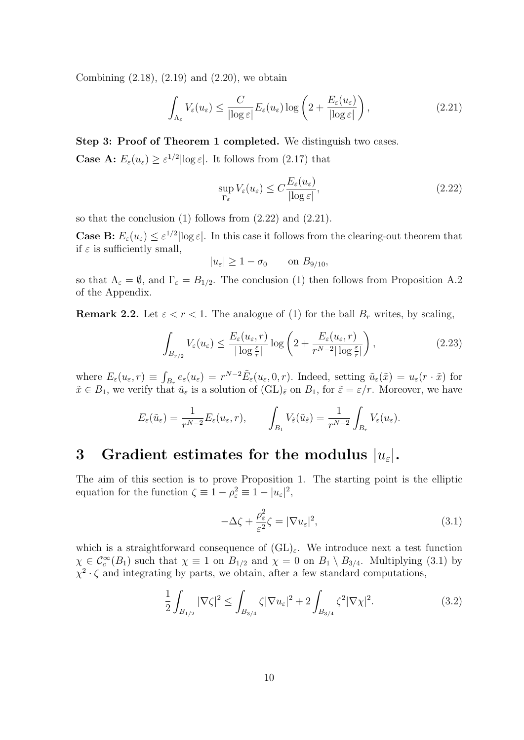Combining  $(2.18)$ ,  $(2.19)$  and  $(2.20)$ , we obtain

$$
\int_{\Lambda_{\varepsilon}} V_{\varepsilon}(u_{\varepsilon}) \le \frac{C}{|\log \varepsilon|} E_{\varepsilon}(u_{\varepsilon}) \log \left( 2 + \frac{E_{\varepsilon}(u_{\varepsilon})}{|\log \varepsilon|} \right),\tag{2.21}
$$

Step 3: Proof of Theorem 1 completed. We distinguish two cases. **Case A:**  $E_{\varepsilon}(u_{\varepsilon}) \geq \varepsilon^{1/2} |\log \varepsilon|$ . It follows from (2.17) that

$$
\sup_{\Gamma_{\varepsilon}} V_{\varepsilon}(u_{\varepsilon}) \le C \frac{E_{\varepsilon}(u_{\varepsilon})}{|\log \varepsilon|},\tag{2.22}
$$

so that the conclusion  $(1)$  follows from  $(2.22)$  and  $(2.21)$ .

**Case B:**  $E_{\varepsilon}(u_{\varepsilon}) \leq \varepsilon^{1/2} |\log \varepsilon|$ . In this case it follows from the clearing-out theorem that if  $\varepsilon$  is sufficiently small,

$$
|u_{\varepsilon}| \ge 1 - \sigma_0 \qquad \text{on } B_{9/10},
$$

so that  $\Lambda_{\varepsilon} = \emptyset$ , and  $\Gamma_{\varepsilon} = B_{1/2}$ . The conclusion (1) then follows from Proposition A.2 of the Appendix.

**Remark 2.2.** Let  $\varepsilon < r < 1$ . The analogue of (1) for the ball  $B_r$  writes, by scaling,

$$
\int_{B_{r/2}} V_{\varepsilon}(u_{\varepsilon}) \le \frac{E_{\varepsilon}(u_{\varepsilon}, r)}{|\log \frac{\varepsilon}{r}|} \log \left( 2 + \frac{E_{\varepsilon}(u_{\varepsilon}, r)}{r^{N-2} |\log \frac{\varepsilon}{r}|} \right),\tag{2.23}
$$

where  $E_{\varepsilon}(u_{\varepsilon},r) \equiv \int_{B_r} e_{\varepsilon}(u_{\varepsilon}) = r^{N-2} \tilde{E}_{\varepsilon}(u_{\varepsilon},0,r)$ . Indeed, setting  $\tilde{u}_{\varepsilon}(\tilde{x}) = u_{\varepsilon}(r \cdot \tilde{x})$  for  $\tilde{x} \in B_1$ , we verify that  $\tilde{u}_{\varepsilon}$  is a solution of  $(GL)_{\tilde{\varepsilon}}$  on  $B_1$ , for  $\tilde{\varepsilon} = \varepsilon/r$ . Moreover, we have

$$
E_{\varepsilon}(\tilde{u}_{\varepsilon}) = \frac{1}{r^{N-2}} E_{\varepsilon}(u_{\varepsilon}, r), \qquad \int_{B_1} V_{\tilde{\varepsilon}}(\tilde{u}_{\tilde{\varepsilon}}) = \frac{1}{r^{N-2}} \int_{B_r} V_{\varepsilon}(u_{\varepsilon}).
$$

## 3 Gradient estimates for the modulus  $|u_{\varepsilon}|$ .

The aim of this section is to prove Proposition 1. The starting point is the elliptic equation for the function  $\zeta \equiv 1 - \rho_{\varepsilon}^2 \equiv 1 - |u_{\varepsilon}|^2$ ,

$$
-\Delta\zeta + \frac{\rho_{\varepsilon}^2}{\varepsilon^2}\zeta = |\nabla u_{\varepsilon}|^2,\tag{3.1}
$$

which is a straightforward consequence of  $(GL)_{\varepsilon}$ . We introduce next a test function  $\chi \in \mathcal{C}_c^{\infty}(B_1)$  such that  $\chi \equiv 1$  on  $B_{1/2}$  and  $\chi = 0$  on  $B_1 \setminus B_{3/4}$ . Multiplying (3.1) by  $\chi^2$   $\cdot$   $\zeta$  and integrating by parts, we obtain, after a few standard computations,

$$
\frac{1}{2} \int_{B_{1/2}} |\nabla \zeta|^2 \le \int_{B_{3/4}} \zeta |\nabla u_{\varepsilon}|^2 + 2 \int_{B_{3/4}} \zeta^2 |\nabla \chi|^2. \tag{3.2}
$$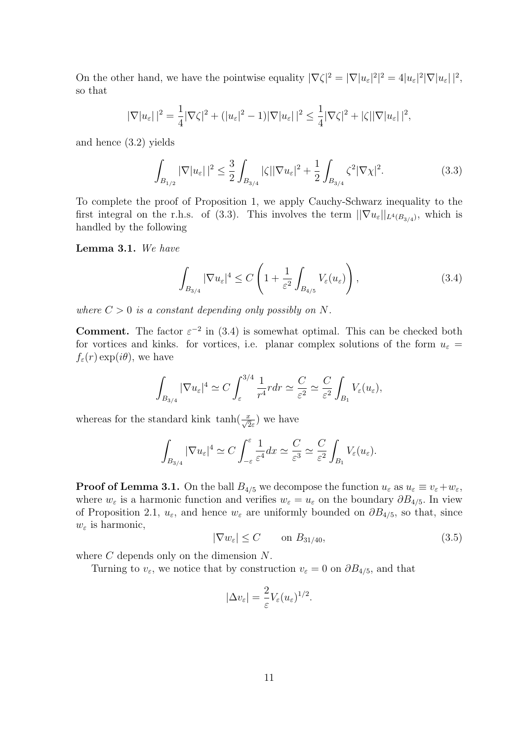On the other hand, we have the pointwise equality  $|\nabla \zeta|^2 = |\nabla |u_{\varepsilon}|^2 = 4|u_{\varepsilon}|^2 |\nabla |u_{\varepsilon}||^2$ , so that

$$
|\nabla |u_{\varepsilon}||^2 = \frac{1}{4} |\nabla \zeta|^2 + (|u_{\varepsilon}|^2 - 1)|\nabla |u_{\varepsilon}||^2 \leq \frac{1}{4} |\nabla \zeta|^2 + |\zeta||\nabla |u_{\varepsilon}||^2,
$$

and hence (3.2) yields

$$
\int_{B_{1/2}} |\nabla |u_{\varepsilon}||^2 \le \frac{3}{2} \int_{B_{3/4}} |\zeta| |\nabla u_{\varepsilon}|^2 + \frac{1}{2} \int_{B_{3/4}} \zeta^2 |\nabla \chi|^2. \tag{3.3}
$$

To complete the proof of Proposition 1, we apply Cauchy-Schwarz inequality to the first integral on the r.h.s. of (3.3). This involves the term  $\|\nabla u_{\varepsilon}\|_{L^{4}(B_{3/4})}$ , which is handled by the following

Lemma 3.1. We have

$$
\int_{B_{3/4}} |\nabla u_{\varepsilon}|^4 \le C \left( 1 + \frac{1}{\varepsilon^2} \int_{B_{4/5}} V_{\varepsilon}(u_{\varepsilon}) \right),\tag{3.4}
$$

where  $C > 0$  is a constant depending only possibly on N.

**Comment.** The factor  $\varepsilon^{-2}$  in (3.4) is somewhat optimal. This can be checked both for vortices and kinks. for vortices, i.e. planar complex solutions of the form  $u_{\varepsilon} =$  $f_{\varepsilon}(r) \exp(i\theta)$ , we have

$$
\int_{B_{3/4}} |\nabla u_{\varepsilon}|^4 \simeq C \int_{\varepsilon}^{3/4} \frac{1}{r^4} r dr \simeq \frac{C}{\varepsilon^2} \simeq \frac{C}{\varepsilon^2} \int_{B_1} V_{\varepsilon}(u_{\varepsilon}),
$$

whereas for the standard kink  $\tanh(\frac{x}{\sqrt{2}\varepsilon})$  we have

$$
\int_{B_{3/4}} |\nabla u_{\varepsilon}|^4 \simeq C \int_{-\varepsilon}^{\varepsilon} \frac{1}{\varepsilon^4} dx \simeq \frac{C}{\varepsilon^3} \simeq \frac{C}{\varepsilon^2} \int_{B_1} V_{\varepsilon}(u_{\varepsilon}).
$$

**Proof of Lemma 3.1.** On the ball  $B_{4/5}$  we decompose the function  $u_{\varepsilon}$  as  $u_{\varepsilon} \equiv v_{\varepsilon} + w_{\varepsilon}$ , where  $w_{\varepsilon}$  is a harmonic function and verifies  $w_{\varepsilon} = u_{\varepsilon}$  on the boundary  $\partial B_{4/5}$ . In view of Proposition 2.1,  $u_{\varepsilon}$ , and hence  $w_{\varepsilon}$  are uniformly bounded on  $\partial B_{4/5}$ , so that, since  $w_{\varepsilon}$  is harmonic,

$$
|\nabla w_{\varepsilon}| \le C \qquad \text{on } B_{31/40},\tag{3.5}
$$

where C depends only on the dimension  $N$ .

Turning to  $v_{\varepsilon}$ , we notice that by construction  $v_{\varepsilon} = 0$  on  $\partial B_{4/5}$ , and that

$$
|\Delta v_{\varepsilon}| = \frac{2}{\varepsilon} V_{\varepsilon}(u_{\varepsilon})^{1/2}.
$$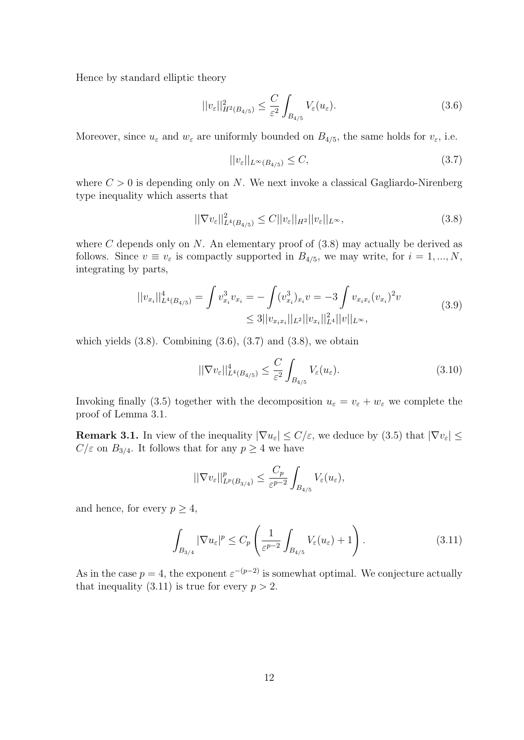Hence by standard elliptic theory

$$
||v_{\varepsilon}||_{H^{2}(B_{4/5})}^{2} \leq \frac{C}{\varepsilon^{2}} \int_{B_{4/5}} V_{\varepsilon}(u_{\varepsilon}). \tag{3.6}
$$

Moreover, since  $u_{\varepsilon}$  and  $w_{\varepsilon}$  are uniformly bounded on  $B_{4/5}$ , the same holds for  $v_{\varepsilon}$ , i.e.

$$
||v_{\varepsilon}||_{L^{\infty}(B_{4/5})} \leq C,\tag{3.7}
$$

where  $C > 0$  is depending only on N. We next invoke a classical Gagliardo-Nirenberg type inequality which asserts that

$$
||\nabla v_{\varepsilon}||_{L^{4}(B_{4/5})}^{2} \leq C||v_{\varepsilon}||_{H^{2}}||v_{\varepsilon}||_{L^{\infty}},\tag{3.8}
$$

where C depends only on N. An elementary proof of  $(3.8)$  may actually be derived as follows. Since  $v \equiv v_{\varepsilon}$  is compactly supported in  $B_{4/5}$ , we may write, for  $i = 1, ..., N$ , integrating by parts,

$$
||v_{x_i}||_{L^4(B_{4/5})}^4 = \int v_{x_i}^3 v_{x_i} = -\int (v_{x_i}^3)_{x_i} v = -3 \int v_{x_i x_i} (v_{x_i})^2 v
$$
  
\n
$$
\leq 3 ||v_{x_i x_i}||_{L^2} ||v_{x_i}||_{L^4}^2 ||v||_{L^{\infty}},
$$
\n(3.9)

which yields  $(3.8)$ . Combining  $(3.6)$ ,  $(3.7)$  and  $(3.8)$ , we obtain

$$
||\nabla v_{\varepsilon}||_{L^{4}(B_{4/5})}^{4} \leq \frac{C}{\varepsilon^{2}} \int_{B_{4/5}} V_{\varepsilon}(u_{\varepsilon}). \tag{3.10}
$$

Invoking finally (3.5) together with the decomposition  $u_{\varepsilon} = v_{\varepsilon} + w_{\varepsilon}$  we complete the proof of Lemma 3.1.

**Remark 3.1.** In view of the inequality  $|\nabla u_{\varepsilon}| \leq C/\varepsilon$ , we deduce by (3.5) that  $|\nabla v_{\varepsilon}| \leq C/\varepsilon$  $C/\varepsilon$  on  $B_{3/4}$ . It follows that for any  $p \geq 4$  we have

$$
||\nabla v_{\varepsilon}||_{L^{p}(B_{3/4})}^{p} \leq \frac{C_{p}}{\varepsilon^{p-2}} \int_{B_{4/5}} V_{\varepsilon}(u_{\varepsilon}),
$$

and hence, for every  $p \geq 4$ ,

$$
\int_{B_{3/4}} |\nabla u_{\varepsilon}|^p \le C_p \left( \frac{1}{\varepsilon^{p-2}} \int_{B_{4/5}} V_{\varepsilon}(u_{\varepsilon}) + 1 \right). \tag{3.11}
$$

As in the case  $p = 4$ , the exponent  $\varepsilon^{-(p-2)}$  is somewhat optimal. We conjecture actually that inequality  $(3.11)$  is true for every  $p > 2$ .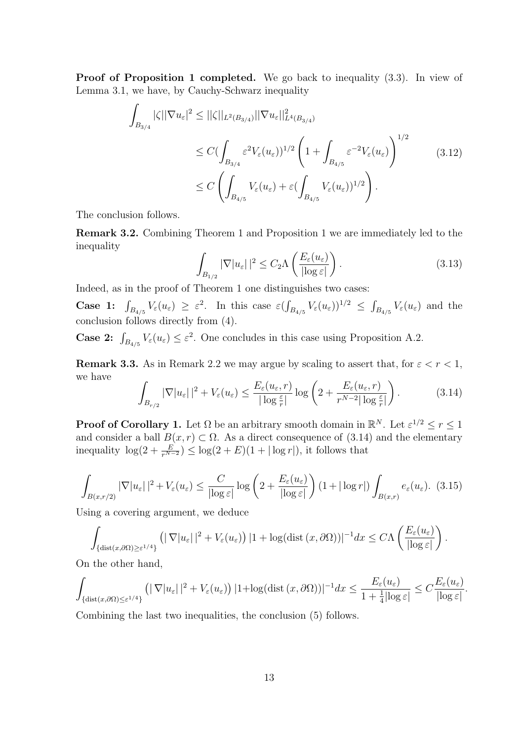Proof of Proposition 1 completed. We go back to inequality  $(3.3)$ . In view of Lemma 3.1, we have, by Cauchy-Schwarz inequality

$$
\int_{B_{3/4}} |\zeta| |\nabla u_{\varepsilon}|^2 \leq ||\zeta||_{L^2(B_{3/4})} ||\nabla u_{\varepsilon}||_{L^4(B_{3/4})}^2
$$
\n
$$
\leq C \Big( \int_{B_{3/4}} \varepsilon^2 V_{\varepsilon}(u_{\varepsilon}) \Big)^{1/2} \left( 1 + \int_{B_{4/5}} \varepsilon^{-2} V_{\varepsilon}(u_{\varepsilon}) \right)^{1/2}
$$
\n
$$
\leq C \left( \int_{B_{4/5}} V_{\varepsilon}(u_{\varepsilon}) + \varepsilon \Big( \int_{B_{4/5}} V_{\varepsilon}(u_{\varepsilon}) \Big)^{1/2} \right). \tag{3.12}
$$

The conclusion follows.

Remark 3.2. Combining Theorem 1 and Proposition 1 we are immediately led to the inequality

$$
\int_{B_{1/2}} |\nabla |u_{\varepsilon}||^2 \le C_2 \Lambda \left( \frac{E_{\varepsilon}(u_{\varepsilon})}{|\log \varepsilon|} \right). \tag{3.13}
$$

Indeed, as in the proof of Theorem 1 one distinguishes two cases:

**Case 1:**  $\int_{B_{4/5}} V_{\varepsilon}(u_{\varepsilon}) \geq \varepsilon^2$ . In this case  $\varepsilon \left( \int_{B_{4/5}} V_{\varepsilon}(u_{\varepsilon}) \right)^{1/2} \leq \int_{B_{4/5}} V_{\varepsilon}(u_{\varepsilon})$  and the conclusion follows directly from (4).

**Case 2:**  $\int_{B_{4/5}} V_{\varepsilon}(u_{\varepsilon}) \leq \varepsilon^2$ . One concludes in this case using Proposition A.2.

**Remark 3.3.** As in Remark 2.2 we may argue by scaling to assert that, for  $\varepsilon < r < 1$ , we have

$$
\int_{B_{r/2}} |\nabla |u_{\varepsilon}||^2 + V_{\varepsilon}(u_{\varepsilon}) \le \frac{E_{\varepsilon}(u_{\varepsilon}, r)}{|\log \frac{\varepsilon}{r}|} \log \left( 2 + \frac{E_{\varepsilon}(u_{\varepsilon}, r)}{r^{N-2} |\log \frac{\varepsilon}{r}|} \right). \tag{3.14}
$$

**Proof of Corollary 1.** Let  $\Omega$  be an arbitrary smooth domain in  $\mathbb{R}^N$ . Let  $\varepsilon^{1/2} \le r \le 1$ and consider a ball  $B(x, r) \subset \Omega$ . As a direct consequence of (3.14) and the elementary inequality  $\log(2 + \frac{E}{r^{N-2}}) \leq \log(2 + E)(1 + |\log r|)$ , it follows that

$$
\int_{B(x,r/2)} |\nabla |u_{\varepsilon}||^2 + V_{\varepsilon}(u_{\varepsilon}) \le \frac{C}{|\log \varepsilon|} \log \left( 2 + \frac{E_{\varepsilon}(u_{\varepsilon})}{|\log \varepsilon|} \right) (1 + |\log r|) \int_{B(x,r)} e_{\varepsilon}(u_{\varepsilon}). \tag{3.15}
$$

Using a covering argument, we deduce

$$
\int_{\{\text{dist}(x,\partial\Omega)\geq \varepsilon^{1/4}\}} \left( |\nabla |u_{\varepsilon}| \, |^2 + V_{\varepsilon}(u_{\varepsilon}) \right) |1 + \log(\text{dist}(x,\partial\Omega))|^{-1} dx \leq C\Lambda \left( \frac{E_{\varepsilon}(u_{\varepsilon})}{|\log \varepsilon|} \right).
$$

On the other hand,

$$
\int_{\{\text{dist}(x,\partial\Omega)\leq \varepsilon^{1/4}\}} \left( |\nabla |u_{\varepsilon}| \, |^2 + V_{\varepsilon}(u_{\varepsilon}) \right) |1 + \log(\text{dist}(x,\partial\Omega))|^{-1} dx \leq \frac{E_{\varepsilon}(u_{\varepsilon})}{1 + \frac{1}{4} |\log \varepsilon|} \leq C \frac{E_{\varepsilon}(u_{\varepsilon})}{|\log \varepsilon|}.
$$

Combining the last two inequalities, the conclusion (5) follows.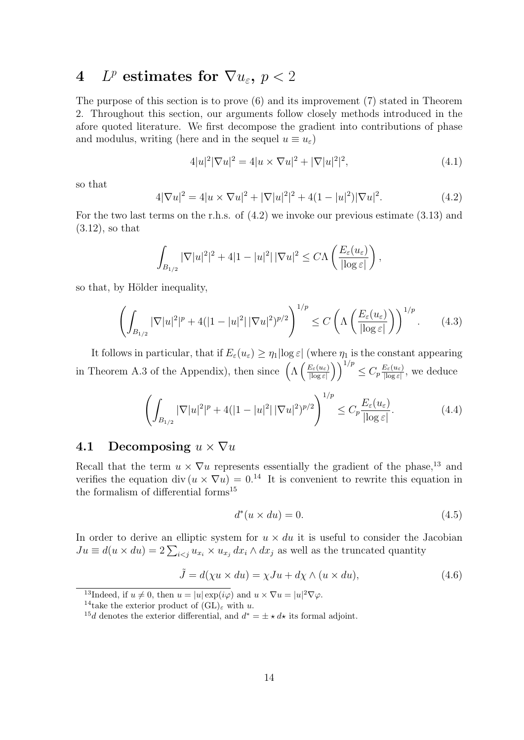# 4 L<sup>p</sup> estimates for  $\nabla u_\varepsilon,~p < 2$

The purpose of this section is to prove (6) and its improvement (7) stated in Theorem 2. Throughout this section, our arguments follow closely methods introduced in the afore quoted literature. We first decompose the gradient into contributions of phase and modulus, writing (here and in the sequel  $u \equiv u_{\varepsilon}$ )

$$
4|u|^2|\nabla u|^2 = 4|u \times \nabla u|^2 + |\nabla |u|^2|^2,
$$
\n(4.1)

so that

$$
4|\nabla u|^2 = 4|u \times \nabla u|^2 + |\nabla |u|^2|^2 + 4(1 - |u|^2)|\nabla u|^2.
$$
 (4.2)

For the two last terms on the r.h.s. of (4.2) we invoke our previous estimate (3.13) and (3.12), so that

$$
\int_{B_{1/2}} |\nabla |u|^2|^2 + 4|1 - |u|^2| |\nabla u|^2 \leq C\Lambda \left( \frac{E_{\varepsilon}(u_{\varepsilon})}{|\log \varepsilon|} \right),
$$

so that, by Hölder inequality,

$$
\left(\int_{B_{1/2}} |\nabla |u|^2|^p + 4(|1 - |u|^2| |\nabla u|^2)^{p/2}\right)^{1/p} \le C\left(\Lambda\left(\frac{E_\varepsilon(u_\varepsilon)}{|\log \varepsilon|}\right)\right)^{1/p}.\tag{4.3}
$$

It follows in particular, that if  $E_{\varepsilon}(u_{\varepsilon}) \geq \eta_1 |\log \varepsilon|$  (where  $\eta_1$  is the constant appearing in Theorem A.3 of the Appendix), then since  $\left(\Lambda\left(\frac{E_{\varepsilon}(u_{\varepsilon})}{\log \varepsilon}\right)\right)$  $\left(\frac{E_{\varepsilon}(u_{\varepsilon})}{\left|\log\varepsilon\right|}\right)\right)^{1/p}\leq C_{p}\frac{E_{\varepsilon}(u_{\varepsilon})}{\left|\log\varepsilon\right|}$  $\frac{E_{\varepsilon}(u_{\varepsilon})}{\left|\log\varepsilon\right|}$ , we deduce

$$
\left(\int_{B_{1/2}} |\nabla |u|^2|^p + 4(|1 - |u|^2| |\nabla u|^2)^{p/2}\right)^{1/p} \le C_p \frac{E_\varepsilon(u_\varepsilon)}{|\log \varepsilon|}.\tag{4.4}
$$

## 4.1 Decomposing  $u \times \nabla u$

Recall that the term  $u \times \nabla u$  represents essentially the gradient of the phase,<sup>13</sup> and verifies the equation div  $(u \times \nabla u) = 0^{14}$  It is convenient to rewrite this equation in the formalism of differential forms<sup>15</sup>

$$
d^*(u \times du) = 0. \tag{4.5}
$$

In order to derive an elliptic system for  $u \times du$  it is useful to consider the Jacobian  $Ju \equiv d(u \times du) = 2 \sum_{i < j} u_{x_i} \times u_{x_j} dx_i \wedge dx_j$  as well as the truncated quantity

$$
\tilde{J} = d(\chi u \times du) = \chi Ju + d\chi \wedge (u \times du), \qquad (4.6)
$$

<sup>13</sup>Indeed, if  $u \neq 0$ , then  $u = |u| \exp(i\varphi)$  and  $u \times \nabla u = |u|^2 \nabla \varphi$ .

<sup>&</sup>lt;sup>14</sup>take the exterior product of  $(GL)_{\varepsilon}$  with u.

<sup>&</sup>lt;sup>15</sup>d denotes the exterior differential, and  $d^* = \pm \star d\star$  its formal adjoint.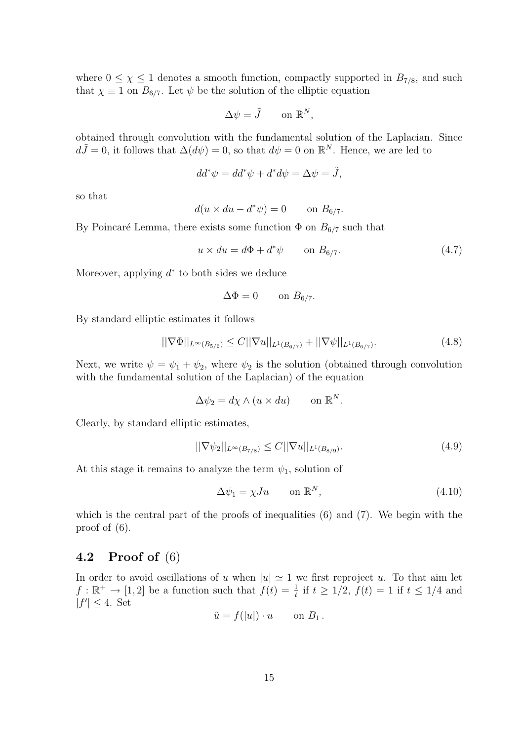where  $0 \leq \chi \leq 1$  denotes a smooth function, compactly supported in  $B_{7/8}$ , and such that  $\chi \equiv 1$  on  $B_{6/7}$ . Let  $\psi$  be the solution of the elliptic equation

$$
\Delta \psi = \tilde{J} \qquad \text{on } \mathbb{R}^N,
$$

obtained through convolution with the fundamental solution of the Laplacian. Since  $d\tilde{J}=0$ , it follows that  $\Delta(d\psi)=0$ , so that  $d\psi=0$  on  $\mathbb{R}^N$ . Hence, we are led to

$$
dd^*\psi = dd^*\psi + d^*d\psi = \Delta\psi = \tilde{J},
$$

so that

$$
d(u \times du - d^*\psi) = 0 \quad \text{on } B_{6/7}.
$$

By Poincaré Lemma, there exists some function  $\Phi$  on  $B_{6/7}$  such that

$$
u \times du = d\Phi + d^*\psi \qquad \text{on } B_{6/7}.
$$
 (4.7)

Moreover, applying  $d^*$  to both sides we deduce

$$
\Delta \Phi = 0 \qquad \text{on } B_{6/7}.
$$

By standard elliptic estimates it follows

$$
||\nabla \Phi||_{L^{\infty}(B_{5/6})} \le C||\nabla u||_{L^{1}(B_{6/7})} + ||\nabla \psi||_{L^{1}(B_{6/7})}.
$$
\n(4.8)

Next, we write  $\psi = \psi_1 + \psi_2$ , where  $\psi_2$  is the solution (obtained through convolution with the fundamental solution of the Laplacian) of the equation

$$
\Delta \psi_2 = d\chi \wedge (u \times du) \qquad \text{on } \mathbb{R}^N.
$$

Clearly, by standard elliptic estimates,

$$
||\nabla \psi_2||_{L^{\infty}(B_{7/8})} \le C||\nabla u||_{L^1(B_{8/9})}.
$$
\n(4.9)

At this stage it remains to analyze the term  $\psi_1$ , solution of

$$
\Delta \psi_1 = \chi J u \qquad \text{on } \mathbb{R}^N, \tag{4.10}
$$

which is the central part of the proofs of inequalities (6) and (7). We begin with the proof of (6).

## 4.2 Proof of (6)

In order to avoid oscillations of u when  $|u| \approx 1$  we first reproject u. To that aim let  $f: \mathbb{R}^+ \to [1,2]$  be a function such that  $f(t) = \frac{1}{t}$  if  $t \geq 1/2$ ,  $f(t) = 1$  if  $t \leq 1/4$  and  $|f'| \leq 4$ . Set

$$
\tilde{u} = f(|u|) \cdot u \qquad \text{on } B_1 \, .
$$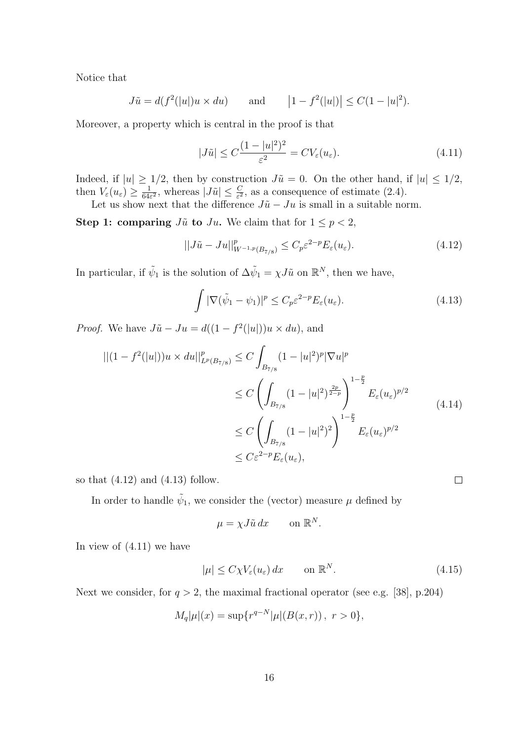Notice that

$$
J\tilde{u} = d(f^2(|u|)u \times du)
$$
 and  $|1 - f^2(|u|)| \le C(1 - |u|^2).$ 

Moreover, a property which is central in the proof is that

$$
|J\tilde{u}| \le C \frac{(1-|u|^2)^2}{\varepsilon^2} = CV_{\varepsilon}(u_{\varepsilon}).\tag{4.11}
$$

Indeed, if  $|u| \geq 1/2$ , then by construction  $J\tilde{u} = 0$ . On the other hand, if  $|u| \leq 1/2$ , then  $V_{\varepsilon}(u_{\varepsilon}) \geq \frac{1}{64\varepsilon}$  $\frac{1}{64\varepsilon^2}$ , whereas  $|J\tilde{u}| \leq \frac{C}{\varepsilon^2}$ , as a consequence of estimate (2.4).

Let us show next that the difference  $J\tilde{u} - Ju$  is small in a suitable norm.

Step 1: comparing  $J\tilde{u}$  to  $Ju$ . We claim that for  $1 \leq p < 2$ ,

$$
||J\tilde{u} - Ju||_{W^{-1,p}(B_{7/8})}^p \le C_p \varepsilon^{2-p} E_{\varepsilon}(u_{\varepsilon}). \tag{4.12}
$$

In particular, if  $\tilde{\psi}_1$  is the solution of  $\Delta \tilde{\psi}_1 = \chi J \tilde{u}$  on  $\mathbb{R}^N$ , then we have,

$$
\int |\nabla(\tilde{\psi}_1 - \psi_1)|^p \le C_p \varepsilon^{2-p} E_{\varepsilon}(u_{\varepsilon}). \tag{4.13}
$$

*Proof.* We have  $J\tilde{u} - Ju = d((1 - f^2(|u|))u \times du)$ , and

$$
\begin{split} || (1 - f^2(|u|)) u \times du ||_{L^p(B_{7/8})}^p &\le C \int_{B_{7/8}} (1 - |u|^2)^p |\nabla u|^p \\ &\le C \left( \int_{B_{7/8}} (1 - |u|^2)^{\frac{2p}{2-p}} \right)^{1 - \frac{p}{2}} E_{\varepsilon}(u_{\varepsilon})^{p/2} \\ &\le C \left( \int_{B_{7/8}} (1 - |u|^2)^2 \right)^{1 - \frac{p}{2}} E_{\varepsilon}(u_{\varepsilon})^{p/2} \\ &\le C \varepsilon^{2 - p} E_{\varepsilon}(u_{\varepsilon}), \end{split} \tag{4.14}
$$

so that  $(4.12)$  and  $(4.13)$  follow.

In order to handle  $\tilde{\psi}_1$ , we consider the (vector) measure  $\mu$  defined by

$$
\mu = \chi J \tilde{u} \, dx \qquad \text{on } \mathbb{R}^N.
$$

In view of (4.11) we have

$$
|\mu| \le C\chi V_{\varepsilon}(u_{\varepsilon}) dx \qquad \text{on } \mathbb{R}^N. \tag{4.15}
$$

 $\Box$ 

Next we consider, for  $q > 2$ , the maximal fractional operator (see e.g. [38], p.204)

$$
M_q|\mu|(x) = \sup \{r^{q-N}|\mu|(B(x,r)), r > 0\},\
$$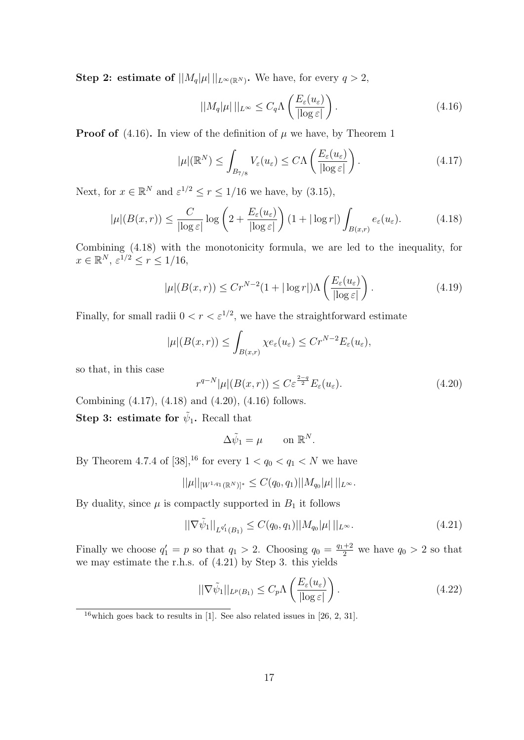Step 2: estimate of  $||M_q|\mu||_{L^{\infty}(\mathbb{R}^N)}$ . We have, for every  $q > 2$ ,

$$
||M_q|\mu|||_{L^{\infty}} \leq C_q \Lambda \left(\frac{E_{\varepsilon}(u_{\varepsilon})}{|\log \varepsilon|}\right). \tag{4.16}
$$

**Proof of** (4.16). In view of the definition of  $\mu$  we have, by Theorem 1

$$
|\mu|(\mathbb{R}^N) \le \int_{B_{7/8}} V_{\varepsilon}(u_{\varepsilon}) \le C\Lambda\left(\frac{E_{\varepsilon}(u_{\varepsilon})}{|\log \varepsilon|}\right). \tag{4.17}
$$

Next, for  $x \in \mathbb{R}^N$  and  $\varepsilon^{1/2} \le r \le 1/16$  we have, by (3.15),

$$
|\mu|(B(x,r)) \le \frac{C}{|\log \varepsilon|} \log \left(2 + \frac{E_{\varepsilon}(u_{\varepsilon})}{|\log \varepsilon|}\right) (1 + |\log r|) \int_{B(x,r)} e_{\varepsilon}(u_{\varepsilon}). \tag{4.18}
$$

Combining (4.18) with the monotonicity formula, we are led to the inequality, for  $x \in \mathbb{R}^N$ ,  $\varepsilon^{1/2} \le r \le 1/16$ ,

$$
|\mu|(B(x,r)) \le Cr^{N-2}(1+|\log r|)\Lambda\left(\frac{E_{\varepsilon}(u_{\varepsilon})}{|\log \varepsilon|}\right). \tag{4.19}
$$

Finally, for small radii  $0 < r < \varepsilon^{1/2}$ , we have the straightforward estimate

$$
|\mu|(B(x,r)) \leq \int_{B(x,r)} \chi e_{\varepsilon}(u_{\varepsilon}) \leq Cr^{N-2} E_{\varepsilon}(u_{\varepsilon}),
$$

so that, in this case

$$
r^{q-N}|\mu|(B(x,r)) \le C\varepsilon^{\frac{2-q}{2}}E_{\varepsilon}(u_{\varepsilon}).\tag{4.20}
$$

Combining (4.17), (4.18) and (4.20), (4.16) follows. Step 3: estimate for  $\tilde{\psi}_1$ . Recall that

$$
\Delta \tilde{\psi}_1 = \mu \qquad \text{on } \mathbb{R}^N.
$$

By Theorem 4.7.4 of [38],<sup>16</sup> for every  $1 < q_0 < q_1 < N$  we have

$$
||\mu||_{[W^{1,q_1}(\mathbb{R}^N)]^*} \leq C(q_0,q_1)||M_{q_0}|\mu||_{L^{\infty}}.
$$

By duality, since  $\mu$  is compactly supported in  $B_1$  it follows

$$
||\nabla \tilde{\psi}_1||_{L^{q'_1}(B_1)} \le C(q_0, q_1)||M_{q_0}|\mu||_{L^{\infty}}.
$$
\n(4.21)

Finally we choose  $q'_1 = p$  so that  $q_1 > 2$ . Choosing  $q_0 = \frac{q_1+2}{2}$  we have  $q_0 > 2$  so that we may estimate the r.h.s. of (4.21) by Step 3. this yields

$$
||\nabla \tilde{\psi}_1||_{L^p(B_1)} \le C_p \Lambda \left(\frac{E_{\varepsilon}(u_{\varepsilon})}{|\log \varepsilon|}\right). \tag{4.22}
$$

 $16$  which goes back to results in [1]. See also related issues in [26, 2, 31].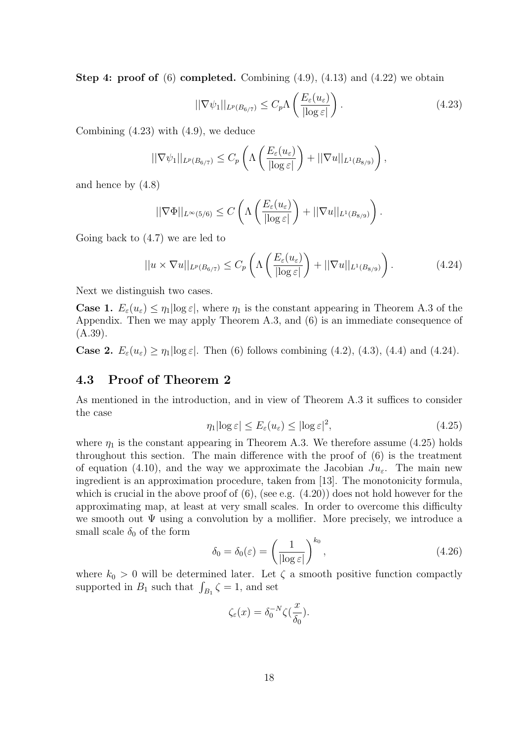**Step 4: proof of** (6) **completed.** Combining  $(4.9)$ ,  $(4.13)$  and  $(4.22)$  we obtain

$$
||\nabla \psi_1||_{L^p(B_{6/7})} \le C_p \Lambda \left(\frac{E_\varepsilon(u_\varepsilon)}{|\log \varepsilon|}\right). \tag{4.23}
$$

Combining (4.23) with (4.9), we deduce

$$
||\nabla \psi_1||_{L^p(B_{6/7})} \leq C_p \left( \Lambda \left( \frac{E_{\varepsilon}(u_{\varepsilon})}{|\log \varepsilon|} \right) + ||\nabla u||_{L^1(B_{8/9})} \right),
$$

and hence by (4.8)

$$
||\nabla \Phi||_{L^{\infty}(5/6)} \leq C\left(\Lambda\left(\frac{E_{\varepsilon}(u_{\varepsilon})}{|\log \varepsilon|}\right) + ||\nabla u||_{L^{1}(B_{8/9})}\right).
$$

Going back to (4.7) we are led to

$$
||u \times \nabla u||_{L^{p}(B_{6/7})} \leq C_p \left( \Lambda \left( \frac{E_{\varepsilon}(u_{\varepsilon})}{|\log \varepsilon|} \right) + ||\nabla u||_{L^{1}(B_{8/9})} \right). \tag{4.24}
$$

Next we distinguish two cases.

**Case 1.**  $E_{\varepsilon}(u_{\varepsilon}) \leq \eta_1 |\log \varepsilon|$ , where  $\eta_1$  is the constant appearing in Theorem A.3 of the Appendix. Then we may apply Theorem A.3, and (6) is an immediate consequence of (A.39).

**Case 2.**  $E_{\varepsilon}(u_{\varepsilon}) \geq \eta_1 |\log \varepsilon|$ . Then (6) follows combining (4.2), (4.3), (4.4) and (4.24).

## 4.3 Proof of Theorem 2

As mentioned in the introduction, and in view of Theorem A.3 it suffices to consider the case

$$
\eta_1 |\log \varepsilon| \le E_\varepsilon(u_\varepsilon) \le |\log \varepsilon|^2,\tag{4.25}
$$

where  $\eta_1$  is the constant appearing in Theorem A.3. We therefore assume (4.25) holds throughout this section. The main difference with the proof of (6) is the treatment of equation (4.10), and the way we approximate the Jacobian  $Ju_{\varepsilon}$ . The main new ingredient is an approximation procedure, taken from [13]. The monotonicity formula, which is crucial in the above proof of  $(6)$ , (see e.g.  $(4.20)$ ) does not hold however for the approximating map, at least at very small scales. In order to overcome this difficulty we smooth out  $\Psi$  using a convolution by a mollifier. More precisely, we introduce a small scale  $\delta_0$  of the form

$$
\delta_0 = \delta_0(\varepsilon) = \left(\frac{1}{|\log \varepsilon|}\right)^{k_0},\tag{4.26}
$$

where  $k_0 > 0$  will be determined later. Let  $\zeta$  a smooth positive function compactly supported in  $B_1$  such that  $\int_{B_1} \zeta = 1$ , and set

$$
\zeta_{\varepsilon}(x) = \delta_0^{-N} \zeta(\frac{x}{\delta_0}).
$$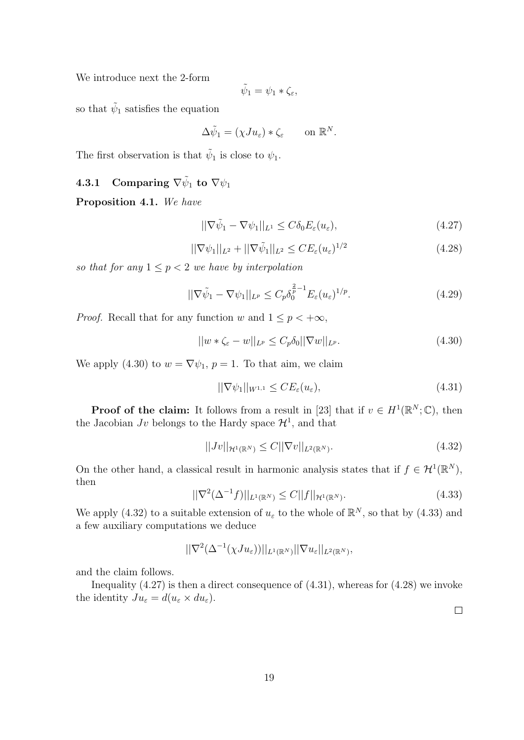We introduce next the 2-form

$$
\tilde{\psi}_1 = \psi_1 * \zeta_{\varepsilon},
$$

so that  $\tilde{\psi}_1$  satisfies the equation

$$
\Delta \tilde{\psi}_1 = (\chi J u_\varepsilon) * \zeta_\varepsilon \qquad \text{on } \mathbb{R}^N.
$$

The first observation is that  $\tilde{\psi}_1$  is close to  $\psi_1$ .

## $\textbf{4.3.1} \quad \textbf{Comparing} \,\, \nabla \tilde{\psi}_1 \, \, \textbf{to} \,\, \nabla \psi_1$

Proposition 4.1. We have

$$
||\nabla \tilde{\psi}_1 - \nabla \psi_1||_{L^1} \le C \delta_0 E_{\varepsilon}(u_{\varepsilon}), \tag{4.27}
$$

$$
||\nabla \psi_1||_{L^2} + ||\nabla \tilde{\psi}_1||_{L^2} \le CE_{\varepsilon}(u_{\varepsilon})^{1/2}
$$
\n(4.28)

so that for any  $1 \leq p < 2$  we have by interpolation

$$
||\nabla \tilde{\psi}_1 - \nabla \psi_1||_{L^p} \le C_p \delta_0^{\frac{2}{p}-1} E_{\varepsilon}(u_{\varepsilon})^{1/p}.
$$
\n(4.29)

*Proof.* Recall that for any function w and  $1 \leq p < +\infty$ ,

$$
||w * \zeta_{\varepsilon} - w||_{L^{p}} \le C_{p} \delta_{0} ||\nabla w||_{L^{p}}.
$$
\n(4.30)

We apply (4.30) to  $w = \nabla \psi_1$ ,  $p = 1$ . To that aim, we claim

$$
||\nabla \psi_1||_{W^{1,1}} \le CE_\varepsilon(u_\varepsilon),\tag{4.31}
$$

**Proof of the claim:** It follows from a result in [23] that if  $v \in H^1(\mathbb{R}^N;\mathbb{C})$ , then the Jacobian Jv belongs to the Hardy space  $\mathcal{H}^1$ , and that

$$
||Jv||_{\mathcal{H}^{1}(\mathbb{R}^{N})} \leq C||\nabla v||_{L^{2}(\mathbb{R}^{N})}.
$$
\n(4.32)

On the other hand, a classical result in harmonic analysis states that if  $f \in H^1(\mathbb{R}^N)$ , then

$$
||\nabla^{2}(\Delta^{-1}f)||_{L^{1}(\mathbb{R}^{N})} \leq C||f||_{\mathcal{H}^{1}(\mathbb{R}^{N})}.
$$
\n(4.33)

We apply (4.32) to a suitable extension of  $u_{\varepsilon}$  to the whole of  $\mathbb{R}^{N}$ , so that by (4.33) and a few auxiliary computations we deduce

$$
||\nabla^2(\Delta^{-1}(\chi Ju_{\varepsilon}))||_{L^1(\mathbb{R}^N)}||\nabla u_{\varepsilon}||_{L^2(\mathbb{R}^N)},
$$

and the claim follows.

Inequality  $(4.27)$  is then a direct consequence of  $(4.31)$ , whereas for  $(4.28)$  we invoke the identity  $Ju_{\varepsilon} = d(u_{\varepsilon} \times du_{\varepsilon}).$ 

 $\Box$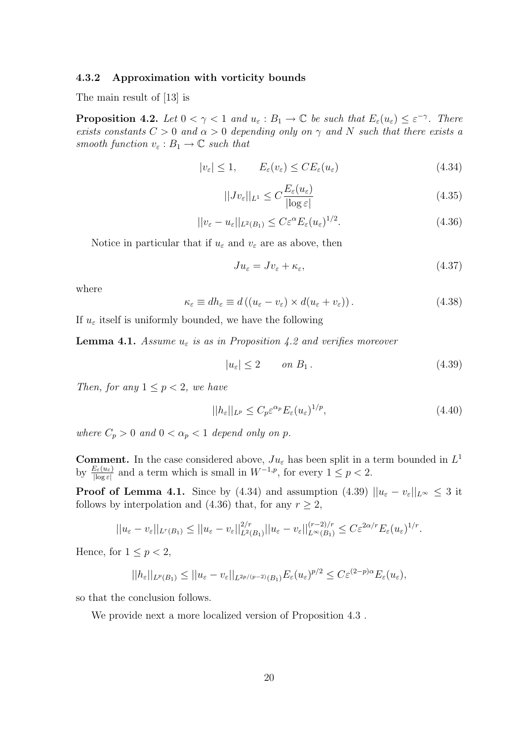#### 4.3.2 Approximation with vorticity bounds

The main result of [13] is

**Proposition 4.2.** Let  $0 < \gamma < 1$  and  $u_{\varepsilon} : B_1 \to \mathbb{C}$  be such that  $E_{\varepsilon}(u_{\varepsilon}) \leq \varepsilon^{-\gamma}$ . There exists constants  $C > 0$  and  $\alpha > 0$  depending only on  $\gamma$  and N such that there exists a smooth function  $v_{\varepsilon}: B_1 \to \mathbb{C}$  such that

$$
|v_{\varepsilon}| \le 1, \qquad E_{\varepsilon}(v_{\varepsilon}) \le CE_{\varepsilon}(u_{\varepsilon}) \tag{4.34}
$$

$$
||Jv_{\varepsilon}||_{L^{1}} \leq C \frac{E_{\varepsilon}(u_{\varepsilon})}{|\log \varepsilon|} \tag{4.35}
$$

$$
||v_{\varepsilon} - u_{\varepsilon}||_{L^{2}(B_{1})} \leq C\varepsilon^{\alpha} E_{\varepsilon}(u_{\varepsilon})^{1/2}.
$$
\n(4.36)

Notice in particular that if  $u_{\varepsilon}$  and  $v_{\varepsilon}$  are as above, then

$$
Ju_{\varepsilon} = Jv_{\varepsilon} + \kappa_{\varepsilon},\tag{4.37}
$$

where

$$
\kappa_{\varepsilon} \equiv dh_{\varepsilon} \equiv d\left( (u_{\varepsilon} - v_{\varepsilon}) \times d(u_{\varepsilon} + v_{\varepsilon}) \right). \tag{4.38}
$$

If  $u_{\varepsilon}$  itself is uniformly bounded, we have the following

**Lemma 4.1.** Assume  $u_{\varepsilon}$  is as in Proposition 4.2 and verifies moreover

$$
|u_{\varepsilon}| \le 2 \qquad on \ B_1. \tag{4.39}
$$

Then, for any  $1 \leq p < 2$ , we have

$$
||h_{\varepsilon}||_{L^{p}} \leq C_{p}\varepsilon^{\alpha_{p}}E_{\varepsilon}(u_{\varepsilon})^{1/p},\tag{4.40}
$$

where  $C_p > 0$  and  $0 < \alpha_p < 1$  depend only on p.

**Comment.** In the case considered above,  $Ju_{\varepsilon}$  has been split in a term bounded in  $L^1$ by  $\frac{E_{\varepsilon}(u_{\varepsilon})}{|\log \varepsilon|}$  and a term which is small in  $W^{-1,p}$ , for every  $1 \leq p < 2$ .

**Proof of Lemma 4.1.** Since by (4.34) and assumption (4.39)  $||u_{\varepsilon} - v_{\varepsilon}||_{L^{\infty}} \leq 3$  it follows by interpolation and (4.36) that, for any  $r \geq 2$ ,

$$
||u_{\varepsilon}-v_{\varepsilon}||_{L^{r}(B_1)} \leq ||u_{\varepsilon}-v_{\varepsilon}||_{L^{2}(B_1)}^{2/r}||u_{\varepsilon}-v_{\varepsilon}||_{L^{\infty}(B_1)}^{(r-2)/r} \leq C\varepsilon^{2\alpha/r}E_{\varepsilon}(u_{\varepsilon})^{1/r}.
$$

Hence, for  $1 \leq p < 2$ ,

$$
||h_{\varepsilon}||_{L^{p}(B_1)} \leq ||u_{\varepsilon} - v_{\varepsilon}||_{L^{2p/(p-2)}(B_1)} E_{\varepsilon}(u_{\varepsilon})^{p/2} \leq C \varepsilon^{(2-p)\alpha} E_{\varepsilon}(u_{\varepsilon}),
$$

so that the conclusion follows.

We provide next a more localized version of Proposition 4.3 .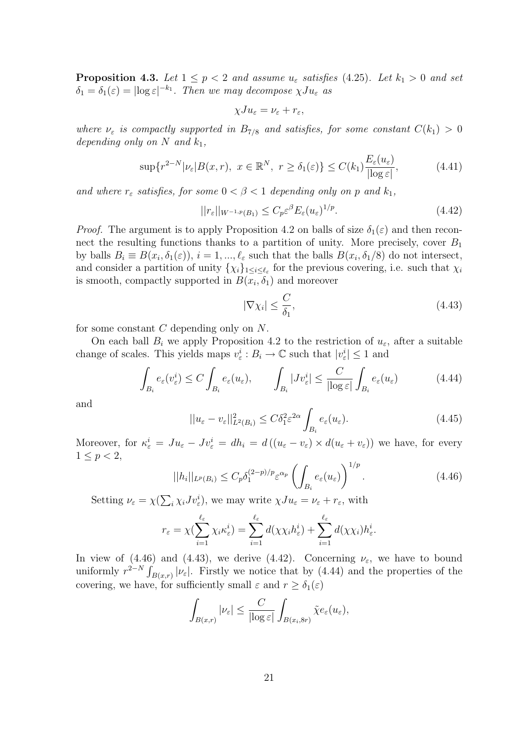**Proposition 4.3.** Let  $1 \leq p < 2$  and assume  $u_{\varepsilon}$  satisfies (4.25). Let  $k_1 > 0$  and set  $\delta_1 = \delta_1(\varepsilon) = |\log \varepsilon|^{-k_1}$ . Then we may decompose  $\chi Ju_\varepsilon$  as

$$
\chi Ju_{\varepsilon} = \nu_{\varepsilon} + r_{\varepsilon},
$$

where  $\nu_{\varepsilon}$  is compactly supported in  $B_{7/8}$  and satisfies, for some constant  $C(k_1) > 0$ depending only on N and  $k_1$ ,

$$
\sup\{r^{2-N}|\nu_{\varepsilon}|B(x,r),\ x\in\mathbb{R}^N,\ r\geq\delta_1(\varepsilon)\}\leq C(k_1)\frac{E_{\varepsilon}(u_{\varepsilon})}{|\log\varepsilon|},\tag{4.41}
$$

and where  $r_{\varepsilon}$  satisfies, for some  $0 < \beta < 1$  depending only on p and  $k_1$ ,

$$
||r_{\varepsilon}||_{W^{-1,p}(B_1)} \le C_p \varepsilon^{\beta} E_{\varepsilon}(u_{\varepsilon})^{1/p}.
$$
\n(4.42)

*Proof.* The argument is to apply Proposition 4.2 on balls of size  $\delta_1(\varepsilon)$  and then reconnect the resulting functions thanks to a partition of unity. More precisely, cover  $B_1$ by balls  $B_i \equiv B(x_i, \delta_1(\varepsilon))$ ,  $i = 1, ..., \ell_{\varepsilon}$  such that the balls  $B(x_i, \delta_1/8)$  do not intersect, and consider a partition of unity  $\{\chi_i\}_{1\leq i\leq \ell_{\varepsilon}}$  for the previous covering, i.e. such that  $\chi_i$ is smooth, compactly supported in  $B(x_i, \delta_1)$  and moreover

$$
|\nabla \chi_i| \le \frac{C}{\delta_1},\tag{4.43}
$$

for some constant C depending only on N.

On each ball  $B_i$  we apply Proposition 4.2 to the restriction of  $u_{\varepsilon}$ , after a suitable change of scales. This yields maps  $v_{\varepsilon}^i : B_i \to \mathbb{C}$  such that  $|v_{\varepsilon}^i| \leq 1$  and

$$
\int_{B_i} e_{\varepsilon}(v_{\varepsilon}^i) \le C \int_{B_i} e_{\varepsilon}(u_{\varepsilon}), \qquad \int_{B_i} |J v_{\varepsilon}^i| \le \frac{C}{|\log \varepsilon|} \int_{B_i} e_{\varepsilon}(u_{\varepsilon}) \tag{4.44}
$$

and

$$
||u_{\varepsilon} - v_{\varepsilon}||_{L^{2}(B_{i})}^{2} \le C\delta_{1}^{2}\varepsilon^{2\alpha} \int_{B_{i}} e_{\varepsilon}(u_{\varepsilon}). \tag{4.45}
$$

Moreover, for  $\kappa_{\varepsilon}^{i} = Ju_{\varepsilon} - Jv_{\varepsilon}^{i} = dh_{i} = d((u_{\varepsilon} - v_{\varepsilon}) \times d(u_{\varepsilon} + v_{\varepsilon}))$  we have, for every  $1 \le p < 2$ ,

$$
||h_i||_{L^p(B_i)} \le C_p \delta_1^{(2-p)/p} \varepsilon^{\alpha_p} \left( \int_{B_i} e_\varepsilon(u_\varepsilon) \right)^{1/p}.
$$
\n(4.46)

Setting  $\nu_{\varepsilon} = \chi(\sum_{i} \chi_{i} J v_{\varepsilon}^{i}),$  we may write  $\chi J u_{\varepsilon} = \nu_{\varepsilon} + r_{\varepsilon}$ , with

$$
r_{\varepsilon} = \chi(\sum_{i=1}^{\ell_{\varepsilon}} \chi_i \kappa_{\varepsilon}^i) = \sum_{i=1}^{\ell_{\varepsilon}} d(\chi \chi_i h_{\varepsilon}^i) + \sum_{i=1}^{\ell_{\varepsilon}} d(\chi \chi_i) h_{\varepsilon}^i.
$$

In view of (4.46) and (4.43), we derive (4.42). Concerning  $\nu_{\varepsilon}$ , we have to bound uniformly  $r^{2-N} \int_{B(x,r)} |\nu_{\varepsilon}|$ . Firstly we notice that by (4.44) and the properties of the covering, we have, for sufficiently small  $\varepsilon$  and  $r \geq \delta_1(\varepsilon)$ 

$$
\int_{B(x,r)} |\nu_{\varepsilon}| \leq \frac{C}{|\log \varepsilon|} \int_{B(x_i, 8r)} \tilde{\chi} e_{\varepsilon}(u_{\varepsilon}),
$$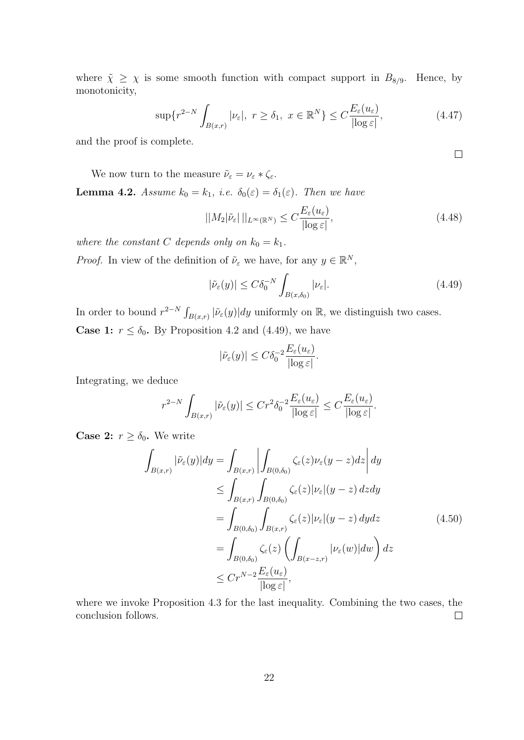where  $\tilde{\chi} \geq \chi$  is some smooth function with compact support in  $B_{8/9}$ . Hence, by monotonicity,

$$
\sup\{r^{2-N}\int_{B(x,r)}|\nu_{\varepsilon}|,\ r\geq\delta_1,\ x\in\mathbb{R}^N\}\leq C\frac{E_{\varepsilon}(u_{\varepsilon})}{|\log\varepsilon|},\tag{4.47}
$$

and the proof is complete.

We now turn to the measure  $\tilde{\nu}_{\varepsilon} = \nu_{\varepsilon} * \zeta_{\varepsilon}$ . **Lemma 4.2.** Assume  $k_0 = k_1$ , i.e.  $\delta_0(\varepsilon) = \delta_1(\varepsilon)$ . Then we have

$$
||M_2|\tilde{\nu}_{\varepsilon}||_{L^{\infty}(\mathbb{R}^N)} \le C \frac{E_{\varepsilon}(u_{\varepsilon})}{|\log \varepsilon|},\tag{4.48}
$$

where the constant C depends only on  $k_0 = k_1$ .

*Proof.* In view of the definition of  $\tilde{\nu}_{\varepsilon}$  we have, for any  $y \in \mathbb{R}^{N}$ ,

$$
|\tilde{\nu}_{\varepsilon}(y)| \le C \delta_0^{-N} \int_{B(x,\delta_0)} |\nu_{\varepsilon}|.
$$
\n(4.49)

In order to bound  $r^{2-N} \int_{B(x,r)} |\tilde{\nu}_{\varepsilon}(y)| dy$  uniformly on R, we distinguish two cases. **Case 1:**  $r \leq \delta_0$ . By Proposition 4.2 and (4.49), we have

$$
|\tilde{\nu}_{\varepsilon}(y)| \leq C \delta_0^{-2} \frac{E_{\varepsilon}(u_{\varepsilon})}{|\log \varepsilon|}.
$$

Integrating, we deduce

$$
r^{2-N} \int_{B(x,r)} |\tilde{\nu}_{\varepsilon}(y)| \le Cr^2 \delta_0^{-2} \frac{E_{\varepsilon}(u_{\varepsilon})}{|\log \varepsilon|} \le C \frac{E_{\varepsilon}(u_{\varepsilon})}{|\log \varepsilon|}.
$$

**Case 2:**  $r \geq \delta_0$ . We write

$$
\int_{B(x,r)} |\tilde{\nu}_{\varepsilon}(y)| dy = \int_{B(x,r)} \left| \int_{B(0,\delta_0)} \zeta_{\varepsilon}(z) \nu_{\varepsilon}(y-z) dz \right| dy
$$
\n
$$
\leq \int_{B(x,r)} \int_{B(0,\delta_0)} \zeta_{\varepsilon}(z) |\nu_{\varepsilon}|(y-z) dz dy
$$
\n
$$
= \int_{B(0,\delta_0)} \int_{B(x,r)} \zeta_{\varepsilon}(z) |\nu_{\varepsilon}|(y-z) dy dz
$$
\n
$$
= \int_{B(0,\delta_0)} \zeta_{\varepsilon}(z) \left( \int_{B(x-z,r)} |\nu_{\varepsilon}(w)| dw \right) dz
$$
\n
$$
\leq Cr^{N-2} \frac{E_{\varepsilon}(u_{\varepsilon})}{|\log \varepsilon|},
$$
\n(4.50)

where we invoke Proposition 4.3 for the last inequality. Combining the two cases, the conclusion follows.  $\Box$ 

 $\Box$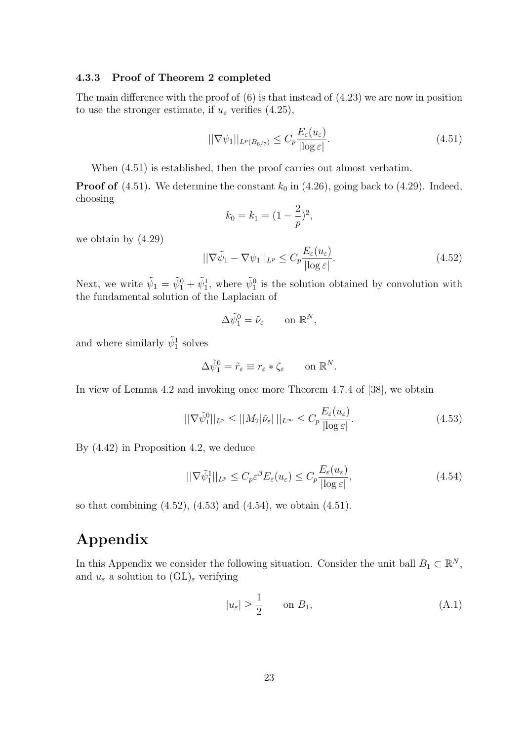## 4.3.3 Proof of Theorem 2 completed

The main difference with the proof of (6) is that instead of (4.23) we are now in position to use the stronger estimate, if  $u_{\varepsilon}$  verifies (4.25),

$$
||\nabla \psi_1||_{L^p(B_{6/7})} \le C_p \frac{E_\varepsilon(u_\varepsilon)}{|\log \varepsilon|}.
$$
\n(4.51)

When (4.51) is established, then the proof carries out almost verbatim.

**Proof of** (4.51). We determine the constant  $k_0$  in (4.26), going back to (4.29). Indeed, choosing

$$
k_0 = k_1 = (1 - \frac{2}{p})^2,
$$

we obtain by (4.29)

$$
||\nabla \tilde{\psi}_1 - \nabla \psi_1||_{L^p} \le C_p \frac{E_{\varepsilon}(u_{\varepsilon})}{|\log \varepsilon|}.
$$
\n(4.52)

Next, we write  $\tilde{\psi}_1 = \tilde{\psi}_1^0 + \tilde{\psi}_1^1$ , where  $\tilde{\psi}_1^0$  is the solution obtained by convolution with the fundamental solution of the Laplacian of

$$
\Delta \tilde{\psi}_1^0 = \tilde{\nu}_{\varepsilon} \qquad \text{on } \mathbb{R}^N,
$$

and where similarly  $\tilde{\psi}_1^1$  solves

$$
\Delta \tilde{\psi}_1^0 = \tilde{r}_{\varepsilon} \equiv r_{\varepsilon} * \zeta_{\varepsilon} \qquad \text{on } \mathbb{R}^N.
$$

In view of Lemma 4.2 and invoking once more Theorem 4.7.4 of [38], we obtain

$$
||\nabla \tilde{\psi}_1^0||_{L^p} \le ||M_2|\tilde{\nu}_{\varepsilon}||_{L^{\infty}} \le C_p \frac{E_{\varepsilon}(u_{\varepsilon})}{|\log \varepsilon|}.
$$
\n(4.53)

By (4.42) in Proposition 4.2, we deduce

$$
||\nabla \tilde{\psi}_1^1||_{L^p} \le C_p \varepsilon^{\beta} E_{\varepsilon}(u_{\varepsilon}) \le C_p \frac{E_{\varepsilon}(u_{\varepsilon})}{|\log \varepsilon|},\tag{4.54}
$$

so that combining (4.52), (4.53) and (4.54), we obtain (4.51).

# Appendix

In this Appendix we consider the following situation. Consider the unit ball  $B_1 \subset \mathbb{R}^N$ , and  $u_{\varepsilon}$  a solution to  $(GL)_{\varepsilon}$  verifying

$$
|u_{\varepsilon}| \ge \frac{1}{2} \qquad \text{on } B_1,\tag{A.1}
$$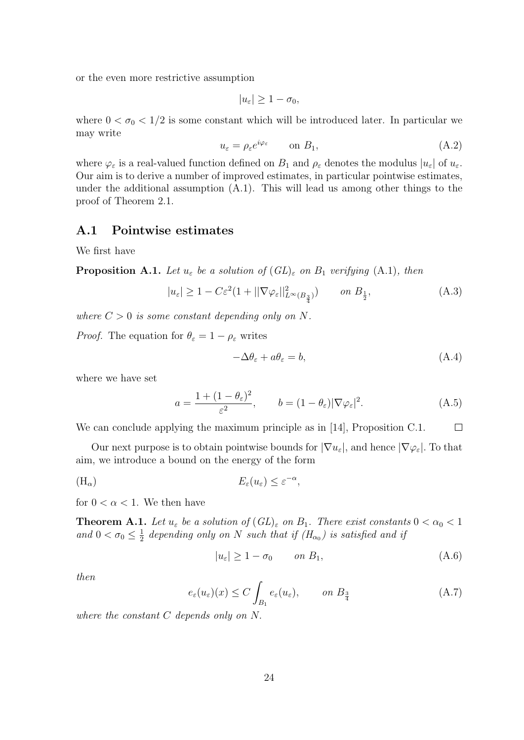or the even more restrictive assumption

$$
|u_{\varepsilon}| \geq 1 - \sigma_0,
$$

where  $0 < \sigma_0 < 1/2$  is some constant which will be introduced later. In particular we may write

$$
u_{\varepsilon} = \rho_{\varepsilon} e^{i\varphi_{\varepsilon}} \qquad \text{on } B_1,\tag{A.2}
$$

where  $\varphi_{\varepsilon}$  is a real-valued function defined on  $B_1$  and  $\rho_{\varepsilon}$  denotes the modulus  $|u_{\varepsilon}|$  of  $u_{\varepsilon}$ . Our aim is to derive a number of improved estimates, in particular pointwise estimates, under the additional assumption (A.1). This will lead us among other things to the proof of Theorem 2.1.

### A.1 Pointwise estimates

We first have

**Proposition A.1.** Let  $u_{\varepsilon}$  be a solution of  $(GL)_{\varepsilon}$  on  $B_1$  verifying  $(A.1)$ , then

$$
|u_{\varepsilon}| \ge 1 - C\varepsilon^2 (1 + ||\nabla \varphi_{\varepsilon}||_{L^{\infty}(B_{\frac{3}{4}})}^2) \qquad on \ B_{\frac{1}{2}},
$$
 (A.3)

where  $C > 0$  is some constant depending only on N.

*Proof.* The equation for  $\theta_{\varepsilon} = 1 - \rho_{\varepsilon}$  writes

$$
-\Delta\theta_{\varepsilon} + a\theta_{\varepsilon} = b,\tag{A.4}
$$

where we have set

$$
a = \frac{1 + (1 - \theta_{\varepsilon})^2}{\varepsilon^2}, \qquad b = (1 - \theta_{\varepsilon}) |\nabla \varphi_{\varepsilon}|^2.
$$
 (A.5)

We can conclude applying the maximum principle as in [14], Proposition C.1.  $\Box$ 

Our next purpose is to obtain pointwise bounds for  $|\nabla u_{\varepsilon}|$ , and hence  $|\nabla \varphi_{\varepsilon}|$ . To that aim, we introduce a bound on the energy of the form

$$
(H_{\alpha}) \t\t\t E_{\varepsilon}(u_{\varepsilon}) \leq \varepsilon^{-\alpha},
$$

for  $0 < \alpha < 1$ . We then have

**Theorem A.1.** Let  $u_{\varepsilon}$  be a solution of  $(GL)_{\varepsilon}$  on  $B_1$ . There exist constants  $0 < \alpha_0 < 1$ and  $0 < \sigma_0 \leq \frac{1}{2}$  $\frac{1}{2}$  depending only on N such that if  $(H_{\alpha_0})$  is satisfied and if

$$
|u_{\varepsilon}| \ge 1 - \sigma_0 \qquad on \ B_1,\tag{A.6}
$$

then

$$
e_{\varepsilon}(u_{\varepsilon})(x) \le C \int_{B_1} e_{\varepsilon}(u_{\varepsilon}), \qquad on \ B_{\frac{3}{4}} \tag{A.7}
$$

where the constant C depends only on N.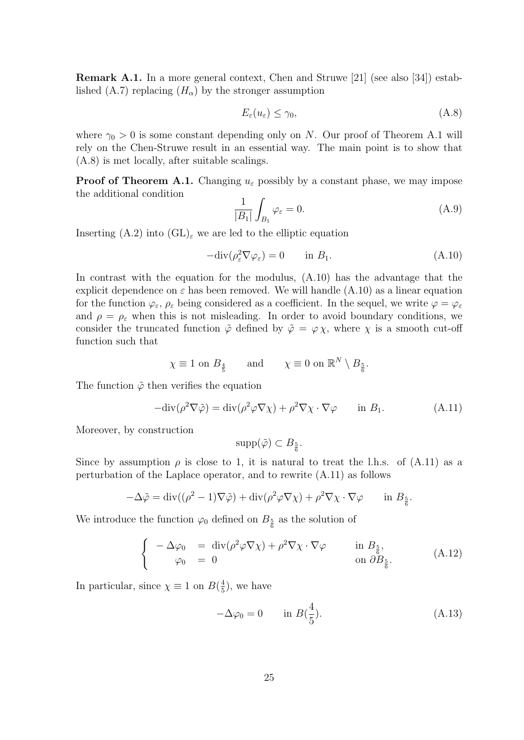Remark A.1. In a more general context, Chen and Struwe [21] (see also [34]) established (A.7) replacing  $(H_{\alpha})$  by the stronger assumption

$$
E_{\varepsilon}(u_{\varepsilon}) \le \gamma_0,\tag{A.8}
$$

where  $\gamma_0 > 0$  is some constant depending only on N. Our proof of Theorem A.1 will rely on the Chen-Struwe result in an essential way. The main point is to show that (A.8) is met locally, after suitable scalings.

**Proof of Theorem A.1.** Changing  $u_{\varepsilon}$  possibly by a constant phase, we may impose the additional condition

$$
\frac{1}{|B_1|} \int_{B_1} \varphi_{\varepsilon} = 0. \tag{A.9}
$$

Inserting  $(A.2)$  into  $(GL)_{\varepsilon}$  we are led to the elliptic equation

$$
-\text{div}(\rho_{\varepsilon}^2 \nabla \varphi_{\varepsilon}) = 0 \qquad \text{in } B_1. \tag{A.10}
$$

In contrast with the equation for the modulus, (A.10) has the advantage that the explicit dependence on  $\varepsilon$  has been removed. We will handle (A.10) as a linear equation for the function  $\varphi_{\varepsilon}, \rho_{\varepsilon}$  being considered as a coefficient. In the sequel, we write  $\varphi = \varphi_{\varepsilon}$ and  $\rho = \rho_{\varepsilon}$  when this is not misleading. In order to avoid boundary conditions, we consider the truncated function  $\tilde{\varphi}$  defined by  $\tilde{\varphi} = \varphi \chi$ , where  $\chi$  is a smooth cut-off function such that

$$
\chi \equiv 1 \text{ on } B_{\frac{4}{5}} \quad \text{and} \quad \chi \equiv 0 \text{ on } \mathbb{R}^N \setminus B_{\frac{5}{6}}.
$$

The function  $\tilde{\varphi}$  then verifies the equation

$$
-\text{div}(\rho^2 \nabla \tilde{\varphi}) = \text{div}(\rho^2 \varphi \nabla \chi) + \rho^2 \nabla \chi \cdot \nabla \varphi \quad \text{in } B_1.
$$
 (A.11)

Moreover, by construction

$$
\mathrm{supp}(\tilde{\varphi}) \subset B_{\frac{5}{6}}.
$$

Since by assumption  $\rho$  is close to 1, it is natural to treat the l.h.s. of (A.11) as a perturbation of the Laplace operator, and to rewrite (A.11) as follows

$$
-\Delta \tilde{\varphi} = \text{div}((\rho^2 - 1)\nabla \tilde{\varphi}) + \text{div}(\rho^2 \varphi \nabla \chi) + \rho^2 \nabla \chi \cdot \nabla \varphi \quad \text{in } B_{\frac{5}{6}}.
$$

We introduce the function  $\varphi_0$  defined on  $B_{\frac{5}{6}}$  as the solution of

$$
\begin{cases}\n-\Delta \varphi_0 = \operatorname{div}(\rho^2 \varphi \nabla \chi) + \rho^2 \nabla \chi \cdot \nabla \varphi & \text{in } B_{\frac{5}{6}}, \\
\varphi_0 = 0 & \text{on } \partial B_{\frac{5}{6}}.\n\end{cases}
$$
\n(A.12)

In particular, since  $\chi \equiv 1$  on  $B(\frac{4}{5})$  $(\frac{4}{5})$ , we have

$$
-\Delta \varphi_0 = 0 \qquad \text{in } B(\frac{4}{5}). \tag{A.13}
$$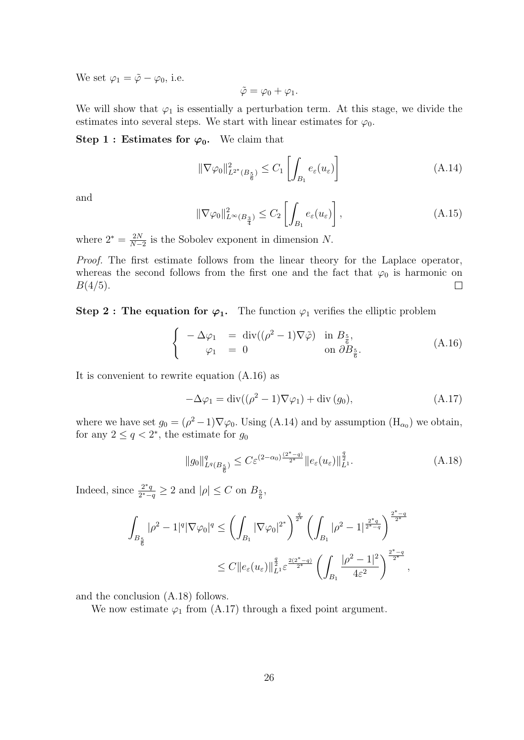We set  $\varphi_1 = \tilde{\varphi} - \varphi_0$ , i.e.

$$
\tilde{\varphi} = \varphi_0 + \varphi_1.
$$

We will show that  $\varphi_1$  is essentially a perturbation term. At this stage, we divide the estimates into several steps. We start with linear estimates for  $\varphi_0$ .

#### Step 1 : Estimates for  $\varphi_0$ . We claim that

$$
\|\nabla \varphi_0\|_{L^{2^*}(B_{\frac{5}{6}})}^2 \le C_1 \left[ \int_{B_1} e_{\varepsilon}(u_{\varepsilon}) \right]
$$
\n(A.14)

and

$$
\|\nabla \varphi_0\|_{L^{\infty}(B_{\frac{3}{4}})}^2 \le C_2 \left[ \int_{B_1} e_{\varepsilon}(u_{\varepsilon}) \right],
$$
\n(A.15)

where  $2^* = \frac{2N}{N-1}$  $\frac{2N}{N-2}$  is the Sobolev exponent in dimension N.

Proof. The first estimate follows from the linear theory for the Laplace operator, whereas the second follows from the first one and the fact that  $\varphi_0$  is harmonic on  $B(4/5).$  $\Box$ 

Step 2 : The equation for  $\varphi_1$ . The function  $\varphi_1$  verifies the elliptic problem

$$
\begin{cases}\n-\Delta \varphi_1 = \operatorname{div}((\rho^2 - 1)\nabla \tilde{\varphi}) & \text{in } B_{\frac{5}{6}}, \\
\varphi_1 = 0 & \text{on } \partial B_{\frac{5}{6}}.\n\end{cases}
$$
\n(A.16)

It is convenient to rewrite equation (A.16) as

$$
-\Delta\varphi_1 = \operatorname{div}((\rho^2 - 1)\nabla\varphi_1) + \operatorname{div}(g_0), \tag{A.17}
$$

where we have set  $g_0 = (\rho^2 - 1)\nabla\varphi_0$ . Using (A.14) and by assumption (H<sub> $\alpha_0$ </sub>) we obtain, for any  $2 \le q < 2^*$ , the estimate for  $g_0$ 

$$
||g_0||_{L^q(B_{\frac{5}{6}})}^q \le C\varepsilon^{(2-\alpha_0)\frac{(2^*-q)}{2^*}}||e_\varepsilon(u_\varepsilon)||_{L^1}^{\frac{q}{2}}.
$$
\n(A.18)

Indeed, since  $\frac{2^*q}{2^*-q}$  $\frac{2^*q}{2^*-q} \geq 2$  and  $|\rho| \leq C$  on  $B_{\frac{5}{6}}$ ,

$$
\int_{B_{\frac{5}{6}}} |\rho^2 - 1|^q |\nabla \varphi_0|^q \le \left(\int_{B_1} |\nabla \varphi_0|^{2^*}\right)^{\frac{q}{2^*}} \left(\int_{B_1} |\rho^2 - 1|^{\frac{2^*q}{2^*-q}}\right)^{\frac{2^*-q}{2^*}} \left(\int_{B_1} |\rho^2 - 1|^{\frac{2^*q}{2^*-q}}\right)^{\frac{2^*-q}{2^*}},
$$
  

$$
\le C \|e_\varepsilon(u_\varepsilon)\|_{L^1}^{\frac{q}{2}} \varepsilon^{\frac{2(2^*-q)}{2^*}} \left(\int_{B_1} \frac{|\rho^2 - 1|^2}{4\varepsilon^2}\right)^{\frac{2^*-q}{2^*}},
$$

and the conclusion (A.18) follows.

We now estimate  $\varphi_1$  from (A.17) through a fixed point argument.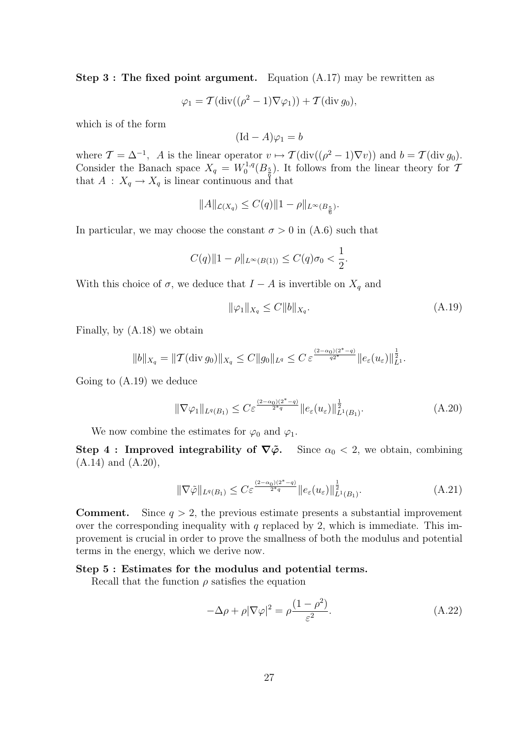Step 3 : The fixed point argument. Equation (A.17) may be rewritten as

$$
\varphi_1 = \mathcal{T}(\text{div}((\rho^2 - 1)\nabla\varphi_1)) + \mathcal{T}(\text{div } g_0),
$$

which is of the form

$$
(\mathrm{Id} - A)\varphi_1 = b
$$

where  $\mathcal{T} = \Delta^{-1}$ , A is the linear operator  $v \mapsto \mathcal{T}(\text{div}((\rho^2 - 1)\nabla v))$  and  $b = \mathcal{T}(\text{div } g_0)$ . Consider the Banach space  $X_q = W_0^{1,q}$  $\int_0^{1,q}(B_{\frac{5}{6}})$ . It follows from the linear theory for T that  $A: X_q \to X_q$  is linear continuous and that

$$
||A||_{\mathcal{L}(X_q)} \leq C(q)||1 - \rho||_{L^{\infty}(B_{\frac{5}{6}})}.
$$

In particular, we may choose the constant  $\sigma > 0$  in  $(A.6)$  such that

$$
C(q)\|1 - \rho\|_{L^{\infty}(B(1))} \leq C(q)\sigma_0 < \frac{1}{2}.
$$

With this choice of  $\sigma$ , we deduce that  $I - A$  is invertible on  $X_q$  and

$$
\|\varphi_1\|_{X_q} \le C \|b\|_{X_q}.
$$
\n(A.19)

Finally, by (A.18) we obtain

$$
||b||_{X_q} = ||\mathcal{T}(\text{div } g_0)||_{X_q} \leq C ||g_0||_{L^q} \leq C \, \varepsilon^{\frac{(2-\alpha_0)(2^*-q)}{q2^*}} ||e_\varepsilon(u_\varepsilon)||_{L^1}^{\frac{1}{2}}.
$$

Going to (A.19) we deduce

$$
\|\nabla \varphi_1\|_{L^q(B_1)} \le C\varepsilon^{\frac{(2-\alpha_0)(2^*-q)}{2^*q}} \|e_\varepsilon(u_\varepsilon)\|_{L^1(B_1)}^{\frac{1}{2}}.\tag{A.20}
$$

We now combine the estimates for  $\varphi_0$  and  $\varphi_1$ .

Step 4 : Improved integrability of  $\nabla \tilde{\varphi}$ . Since  $\alpha_0 < 2$ , we obtain, combining (A.14) and (A.20),

$$
\|\nabla \tilde{\varphi}\|_{L^{q}(B_1)} \leq C \varepsilon^{\frac{(2-\alpha_0)(2^*-q)}{2^*q}} \|e_{\varepsilon}(u_{\varepsilon})\|_{L^1(B_1)}^{\frac{1}{2}}.
$$
\n(A.21)

**Comment.** Since  $q > 2$ , the previous estimate presents a substantial improvement over the corresponding inequality with  $q$  replaced by 2, which is immediate. This improvement is crucial in order to prove the smallness of both the modulus and potential terms in the energy, which we derive now.

#### Step 5 : Estimates for the modulus and potential terms.

Recall that the function  $\rho$  satisfies the equation

$$
-\Delta \rho + \rho |\nabla \varphi|^2 = \rho \frac{(1 - \rho^2)}{\varepsilon^2}.
$$
 (A.22)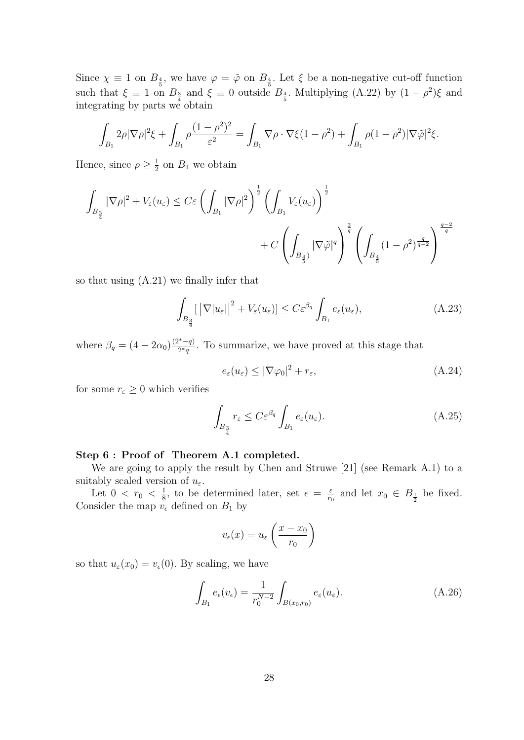Since  $\chi \equiv 1$  on  $B_{\frac{4}{5}}$ , we have  $\varphi = \tilde{\varphi}$  on  $B_{\frac{4}{5}}$ . Let  $\xi$  be a non-negative cut-off function such that  $\xi \equiv 1$  on  $B_{\frac{3}{4}}$  and  $\xi \equiv 0$  outside  $B_{\frac{4}{5}}$ . Multiplying  $(A.22)$  by  $(1 - \rho^2)\xi$  and integrating by parts we obtain

$$
\int_{B_1} 2\rho |\nabla \rho|^2 \xi + \int_{B_1} \rho \frac{(1-\rho^2)^2}{\varepsilon^2} = \int_{B_1} \nabla \rho \cdot \nabla \xi (1-\rho^2) + \int_{B_1} \rho (1-\rho^2) |\nabla \tilde{\varphi}|^2 \xi.
$$

Hence, since  $\rho \geq \frac{1}{2}$  $\frac{1}{2}$  on  $B_1$  we obtain

$$
\int_{B_{\frac{3}{4}}} |\nabla \rho|^2 + V_{\varepsilon}(u_{\varepsilon}) \le C\varepsilon \left( \int_{B_1} |\nabla \rho|^2 \right)^{\frac{1}{2}} \left( \int_{B_1} V_{\varepsilon}(u_{\varepsilon}) \right)^{\frac{1}{2}} + C \left( \int_{B_{\frac{4}{5}}} |\nabla \tilde{\varphi}|^q \right)^{\frac{2}{q}} \left( \int_{B_{\frac{4}{5}}} (1 - \rho^2)^{\frac{q}{q-2}} \right)^{\frac{q-2}{q}}
$$

so that using (A.21) we finally infer that

$$
\int_{B_{\frac{3}{4}}} \left[ \left| \nabla |u_{\varepsilon}| \right|^{2} + V_{\varepsilon}(u_{\varepsilon}) \right] \leq C \varepsilon^{\beta_{q}} \int_{B_{1}} e_{\varepsilon}(u_{\varepsilon}), \tag{A.23}
$$

where  $\beta_q = (4 - 2\alpha_0) \frac{(2^* - q)}{2^*q}$  $\frac{x-q}{2^*q}$ . To summarize, we have proved at this stage that

$$
e_{\varepsilon}(u_{\varepsilon}) \le |\nabla \varphi_0|^2 + r_{\varepsilon},\tag{A.24}
$$

for some  $r_{\varepsilon} \geq 0$  which verifies

$$
\int_{B_{\frac{3}{4}}} r_{\varepsilon} \le C \varepsilon^{\beta q} \int_{B_1} e_{\varepsilon}(u_{\varepsilon}). \tag{A.25}
$$

## Step 6 : Proof of Theorem A.1 completed.

We are going to apply the result by Chen and Struwe [21] (see Remark A.1) to a suitably scaled version of  $u_{\varepsilon}$ .

Let  $0 < r_0 < \frac{1}{8}$  $\frac{1}{8}$ , to be determined later, set  $\epsilon = \frac{\varepsilon}{r_0}$  $\frac{\varepsilon}{r_0}$  and let  $x_0 \in B_{\frac{1}{2}}$  be fixed. Consider the map  $v_{\epsilon}$  defined on  $B_1$  by

$$
v_{\epsilon}(x) = u_{\epsilon}\left(\frac{x - x_0}{r_0}\right)
$$

so that  $u_{\varepsilon}(x_0) = v_{\varepsilon}(0)$ . By scaling, we have

$$
\int_{B_1} e_{\epsilon}(v_{\epsilon}) = \frac{1}{r_0^{N-2}} \int_{B(x_0, r_0)} e_{\epsilon}(u_{\epsilon}).
$$
\n(A.26)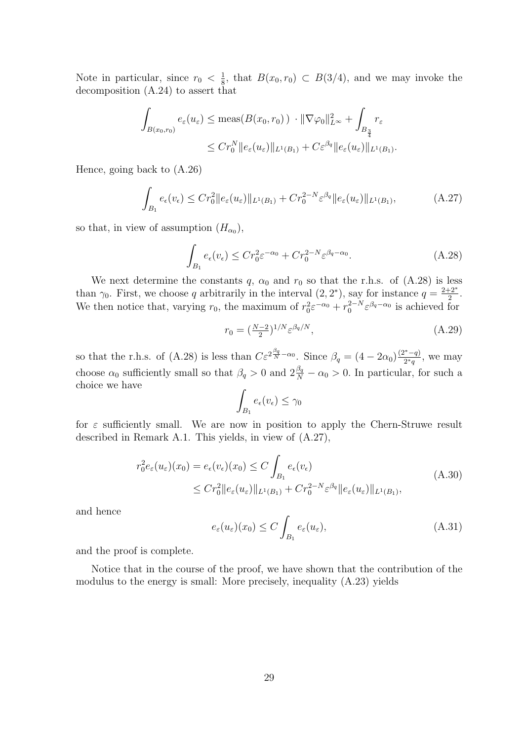Note in particular, since  $r_0 < \frac{1}{8}$  $\frac{1}{8}$ , that  $B(x_0, r_0) \subset B(3/4)$ , and we may invoke the decomposition (A.24) to assert that

$$
\int_{B(x_0,r_0)} e_{\varepsilon}(u_{\varepsilon}) \le \max(B(x_0,r_0)) \cdot \|\nabla \varphi_0\|_{L^{\infty}}^2 + \int_{B_{\frac{3}{4}}} r_{\varepsilon}
$$
  

$$
\le C r_0^N \|e_{\varepsilon}(u_{\varepsilon})\|_{L^1(B_1)} + C \varepsilon^{\beta_q} \|e_{\varepsilon}(u_{\varepsilon})\|_{L^1(B_1)}.
$$

Hence, going back to (A.26)

$$
\int_{B_1} e_{\epsilon}(v_{\epsilon}) \leq Cr_0^2 \|e_{\epsilon}(u_{\epsilon})\|_{L^1(B_1)} + Cr_0^{2-N} \varepsilon^{\beta_q} \|e_{\epsilon}(u_{\epsilon})\|_{L^1(B_1)},\tag{A.27}
$$

so that, in view of assumption  $(H_{\alpha_0}),$ 

$$
\int_{B_1} e_{\epsilon}(v_{\epsilon}) \leq C r_0^2 \varepsilon^{-\alpha_0} + C r_0^{2-N} \varepsilon^{\beta_q - \alpha_0}.
$$
\n(A.28)

We next determine the constants q,  $\alpha_0$  and  $r_0$  so that the r.h.s. of (A.28) is less than  $\gamma_0$ . First, we choose q arbitrarily in the interval  $(2, 2^*)$ , say for instance  $q = \frac{2+2^*}{2}$  $\frac{+2^{n}}{2}$ . We then notice that, varying  $r_0$ , the maximum of  $r_0^2 \varepsilon^{-\alpha_0} + r_0^{2-N} \varepsilon^{\beta_q - \alpha_0}$  is achieved for

$$
r_0 = \left(\frac{N-2}{2}\right)^{1/N} \varepsilon^{\beta_q/N},\tag{A.29}
$$

so that the r.h.s. of (A.28) is less than  $C\varepsilon^{2\frac{\beta_q}{N}-\alpha_0}$ . Since  $\beta_q = (4-2\alpha_0)^{\frac{(2^*-q)}{2^*q}}$  $\frac{q^2-q}{2^*q}$ , we may choose  $\alpha_0$  sufficiently small so that  $\beta_q > 0$  and  $2\frac{\beta_q}{N} - \alpha_0 > 0$ . In particular, for such a choice we have

$$
\int_{B_1} e_{\epsilon}(v_{\epsilon}) \leq \gamma_0
$$

for  $\varepsilon$  sufficiently small. We are now in position to apply the Chern-Struwe result described in Remark A.1. This yields, in view of (A.27),

$$
r_0^2 e_{\varepsilon}(u_{\varepsilon})(x_0) = e_{\varepsilon}(v_{\varepsilon})(x_0) \le C \int_{B_1} e_{\varepsilon}(v_{\varepsilon})
$$
  
 
$$
\le C r_0^2 \|e_{\varepsilon}(u_{\varepsilon})\|_{L^1(B_1)} + C r_0^{2-N} \varepsilon^{\beta_q} \|e_{\varepsilon}(u_{\varepsilon})\|_{L^1(B_1)},
$$
 (A.30)

and hence

$$
e_{\varepsilon}(u_{\varepsilon})(x_0) \le C \int_{B_1} e_{\varepsilon}(u_{\varepsilon}), \tag{A.31}
$$

and the proof is complete.

Notice that in the course of the proof, we have shown that the contribution of the modulus to the energy is small: More precisely, inequality (A.23) yields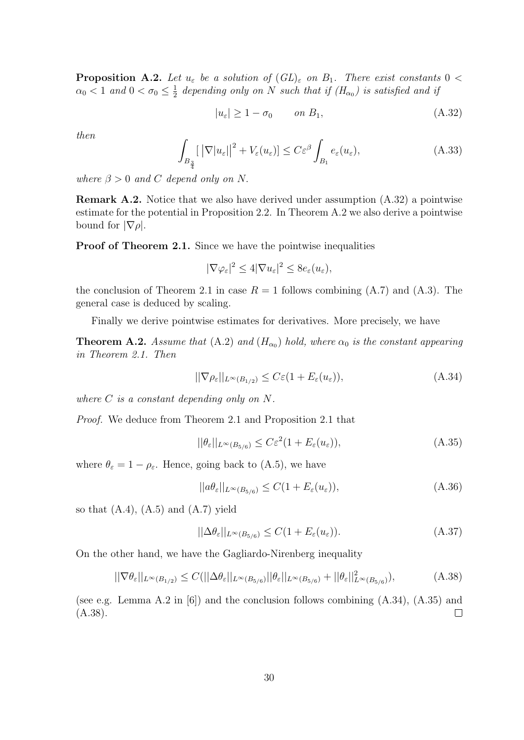**Proposition A.2.** Let  $u_{\varepsilon}$  be a solution of  $(GL)_{\varepsilon}$  on  $B_1$ . There exist constants  $0 <$  $\alpha_0 < 1$  and  $0 < \sigma_0 \leq \frac{1}{2}$  $\frac{1}{2}$  depending only on N such that if  $(H_{\alpha_0})$  is satisfied and if

$$
|u_{\varepsilon}| \ge 1 - \sigma_0 \qquad on \ B_1,\tag{A.32}
$$

then

$$
\int_{B_{\frac{3}{4}}} \left[ \left| \nabla |u_{\varepsilon}| \right|^{2} + V_{\varepsilon}(u_{\varepsilon}) \right] \leq C \varepsilon^{\beta} \int_{B_{1}} e_{\varepsilon}(u_{\varepsilon}), \tag{A.33}
$$

where  $\beta > 0$  and C depend only on N.

Remark A.2. Notice that we also have derived under assumption (A.32) a pointwise estimate for the potential in Proposition 2.2. In Theorem A.2 we also derive a pointwise bound for  $|\nabla \rho|$ .

Proof of Theorem 2.1. Since we have the pointwise inequalities

$$
|\nabla \varphi_{\varepsilon}|^2 \le 4|\nabla u_{\varepsilon}|^2 \le 8e_{\varepsilon}(u_{\varepsilon}),
$$

the conclusion of Theorem 2.1 in case  $R = 1$  follows combining  $(A.7)$  and  $(A.3)$ . The general case is deduced by scaling.

Finally we derive pointwise estimates for derivatives. More precisely, we have

**Theorem A.2.** Assume that (A.2) and ( $H_{\alpha_0}$ ) hold, where  $\alpha_0$  is the constant appearing in Theorem 2.1. Then

$$
||\nabla \rho_{\varepsilon}||_{L^{\infty}(B_{1/2})} \leq C\varepsilon (1 + E_{\varepsilon}(u_{\varepsilon})),
$$
\n(A.34)

where C is a constant depending only on N.

Proof. We deduce from Theorem 2.1 and Proposition 2.1 that

$$
||\theta_{\varepsilon}||_{L^{\infty}(B_{5/6})} \leq C\varepsilon^2 (1 + E_{\varepsilon}(u_{\varepsilon})),
$$
\n(A.35)

where  $\theta_{\varepsilon} = 1 - \rho_{\varepsilon}$ . Hence, going back to (A.5), we have

$$
||a\theta_{\varepsilon}||_{L^{\infty}(B_{5/6})} \le C(1 + E_{\varepsilon}(u_{\varepsilon})),
$$
\n(A.36)

so that  $(A.4)$ ,  $(A.5)$  and  $(A.7)$  yield

$$
||\Delta \theta_{\varepsilon}||_{L^{\infty}(B_{5/6})} \le C(1 + E_{\varepsilon}(u_{\varepsilon})).
$$
\n(A.37)

On the other hand, we have the Gagliardo-Nirenberg inequality

$$
||\nabla \theta_{\varepsilon}||_{L^{\infty}(B_{1/2})} \leq C(||\Delta \theta_{\varepsilon}||_{L^{\infty}(B_{5/6})} ||\theta_{\varepsilon}||_{L^{\infty}(B_{5/6})} + ||\theta_{\varepsilon}||_{L^{\infty}(B_{5/6})}^{2}),
$$
(A.38)

(see e.g. Lemma A.2 in [6]) and the conclusion follows combining (A.34), (A.35) and (A.38).  $\Box$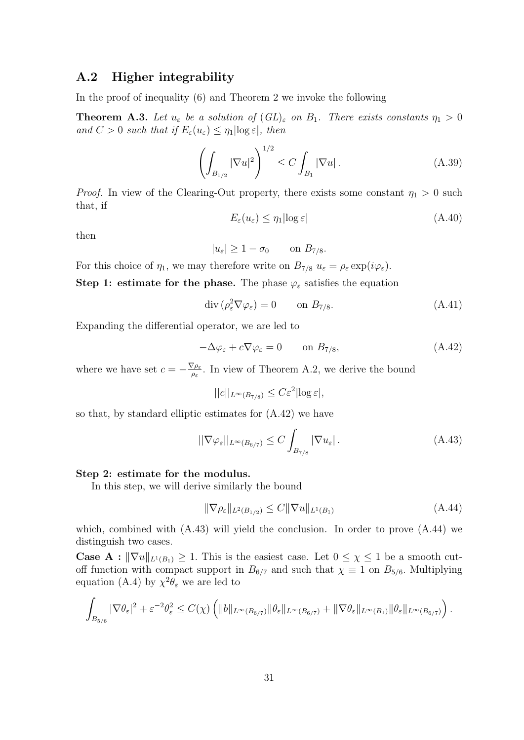## A.2 Higher integrability

In the proof of inequality (6) and Theorem 2 we invoke the following

**Theorem A.3.** Let  $u_{\varepsilon}$  be a solution of  $(GL)_{\varepsilon}$  on  $B_1$ . There exists constants  $\eta_1 > 0$ and  $C > 0$  such that if  $E_{\varepsilon}(u_{\varepsilon}) \leq \eta_1 |\log \varepsilon|$ , then

$$
\left(\int_{B_{1/2}} |\nabla u|^2\right)^{1/2} \le C \int_{B_1} |\nabla u| \,. \tag{A.39}
$$

*Proof.* In view of the Clearing-Out property, there exists some constant  $\eta_1 > 0$  such that, if

$$
E_{\varepsilon}(u_{\varepsilon}) \le \eta_1 |\log \varepsilon| \tag{A.40}
$$

then

$$
|u_{\varepsilon}| \ge 1 - \sigma_0 \qquad \text{on } B_{7/8}.
$$

For this choice of  $\eta_1$ , we may therefore write on  $B_{7/8} u_{\varepsilon} = \rho_{\varepsilon} \exp(i\varphi_{\varepsilon}).$ 

Step 1: estimate for the phase. The phase  $\varphi_{\varepsilon}$  satisfies the equation

$$
\operatorname{div}\left(\rho_{\varepsilon}^{2}\nabla\varphi_{\varepsilon}\right)=0\qquad\text{on }B_{7/8}.\tag{A.41}
$$

Expanding the differential operator, we are led to

$$
-\Delta\varphi_{\varepsilon} + c\nabla\varphi_{\varepsilon} = 0 \qquad \text{on } B_{7/8},\tag{A.42}
$$

where we have set  $c = -\frac{\nabla \rho_{\varepsilon}}{2}$  $\frac{\sqrt{\rho_{\varepsilon}}}{\rho_{\varepsilon}}$ . In view of Theorem A.2, we derive the bound

$$
||c||_{L^{\infty}(B_{7/8})} \leq C\varepsilon^2 |\log \varepsilon|,
$$

so that, by standard elliptic estimates for (A.42) we have

$$
||\nabla \varphi_{\varepsilon}||_{L^{\infty}(B_{6/7})} \leq C \int_{B_{7/8}} |\nabla u_{\varepsilon}|.
$$
\n(A.43)

#### Step 2: estimate for the modulus.

In this step, we will derive similarly the bound

$$
\|\nabla \rho_{\varepsilon}\|_{L^2(B_{1/2})} \le C \|\nabla u\|_{L^1(B_1)}\tag{A.44}
$$

which, combined with  $(A.43)$  will yield the conclusion. In order to prove  $(A.44)$  we distinguish two cases.

**Case A** :  $\|\nabla u\|_{L^1(B_1)} \geq 1$ . This is the easiest case. Let  $0 \leq \chi \leq 1$  be a smooth cutoff function with compact support in  $B_{6/7}$  and such that  $\chi \equiv 1$  on  $B_{5/6}$ . Multiplying equation (A.4) by  $\chi^2 \theta_{\varepsilon}$  we are led to

$$
\int_{B_{5/6}} |\nabla \theta_{\varepsilon}|^2 + \varepsilon^{-2} \theta_{\varepsilon}^2 \leq C(\chi) \left( \|b\|_{L^{\infty}(B_{6/7})} \|\theta_{\varepsilon}\|_{L^{\infty}(B_{6/7})} + \|\nabla \theta_{\varepsilon}\|_{L^{\infty}(B_1)} \|\theta_{\varepsilon}\|_{L^{\infty}(B_{6/7})} \right).
$$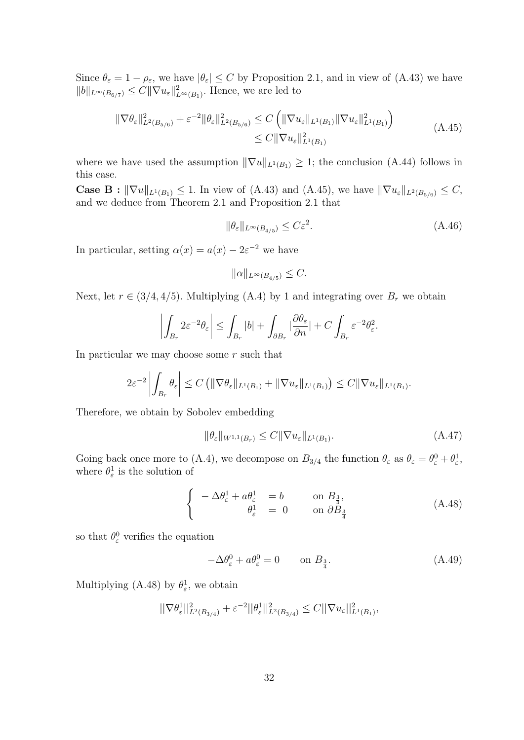Since  $\theta_{\varepsilon} = 1 - \rho_{\varepsilon}$ , we have  $|\theta_{\varepsilon}| \leq C$  by Proposition 2.1, and in view of (A.43) we have  $||b||_{L^{\infty}(B_{6/7})} \leq C ||\nabla u_{\varepsilon}||_{L^{\infty}(B_1)}^2$ . Hence, we are led to

$$
\|\nabla \theta_{\varepsilon}\|_{L^{2}(B_{5/6})}^{2} + \varepsilon^{-2} \|\theta_{\varepsilon}\|_{L^{2}(B_{5/6})}^{2} \leq C \left( \|\nabla u_{\varepsilon}\|_{L^{1}(B_{1})} \|\nabla u_{\varepsilon}\|_{L^{1}(B_{1})}^{2} \right)
$$
\n
$$
\leq C \|\nabla u_{\varepsilon}\|_{L^{1}(B_{1})}^{2}
$$
\n(A.45)

where we have used the assumption  $\|\nabla u\|_{L^1(B_1)} \geq 1$ ; the conclusion (A.44) follows in this case.

**Case B** :  $\|\nabla u\|_{L^1(B_1)} \leq 1$ . In view of (A.43) and (A.45), we have  $\|\nabla u_{\varepsilon}\|_{L^2(B_{5/6})} \leq C$ , and we deduce from Theorem 2.1 and Proposition 2.1 that

$$
\|\theta_{\varepsilon}\|_{L^{\infty}(B_{4/5})} \le C\varepsilon^2. \tag{A.46}
$$

In particular, setting  $\alpha(x) = a(x) - 2\varepsilon^{-2}$  we have

$$
\|\alpha\|_{L^{\infty}(B_{4/5})} \leq C.
$$

Next, let  $r \in (3/4, 4/5)$ . Multiplying (A.4) by 1 and integrating over  $B_r$  we obtain

$$
\left| \int_{B_r} 2\varepsilon^{-2} \theta_\varepsilon \right| \leq \int_{B_r} |b| + \int_{\partial B_r} |\frac{\partial \theta_\varepsilon}{\partial n}| + C \int_{B_r} \varepsilon^{-2} \theta_\varepsilon^2.
$$

In particular we may choose some  $r$  such that

$$
2\varepsilon^{-2}\left|\int_{B_r} \theta_{\varepsilon}\right| \leq C\left(\|\nabla \theta_{\varepsilon}\|_{L^1(B_1)} + \|\nabla u_{\varepsilon}\|_{L^1(B_1)}\right) \leq C\|\nabla u_{\varepsilon}\|_{L^1(B_1)}.
$$

Therefore, we obtain by Sobolev embedding

$$
\|\theta_{\varepsilon}\|_{W^{1,1}(B_r)} \le C \|\nabla u_{\varepsilon}\|_{L^1(B_1)}.
$$
\n(A.47)

Going back once more to (A.4), we decompose on  $B_{3/4}$  the function  $\theta_{\varepsilon}$  as  $\theta_{\varepsilon} = \theta_{\varepsilon}^0 + \theta_{\varepsilon}^1$ , where  $\theta_{\varepsilon}^1$  is the solution of

$$
\begin{cases}\n-\Delta \theta_{\varepsilon}^{1} + a \theta_{\varepsilon}^{1} &= b \qquad \text{on } B_{\frac{3}{4}}, \\
\theta_{\varepsilon}^{1} &= 0 \qquad \text{on } \partial B_{\frac{3}{4}}\n\end{cases}
$$
\n(A.48)

so that  $\theta_{\varepsilon}^0$  verifies the equation

$$
-\Delta\theta_{\varepsilon}^{0} + a\theta_{\varepsilon}^{0} = 0 \qquad \text{on } B_{\frac{3}{4}}.
$$
\n(A.49)

Multiplying (A.48) by  $\theta_{\varepsilon}^1$ , we obtain

$$
||\nabla \theta_{\varepsilon}^{1}||_{L^{2}(B_{3/4})}^{2} + \varepsilon^{-2}||\theta_{\varepsilon}^{1}||_{L^{2}(B_{3/4})}^{2} \leq C||\nabla u_{\varepsilon}||_{L^{1}(B_{1})}^{2},
$$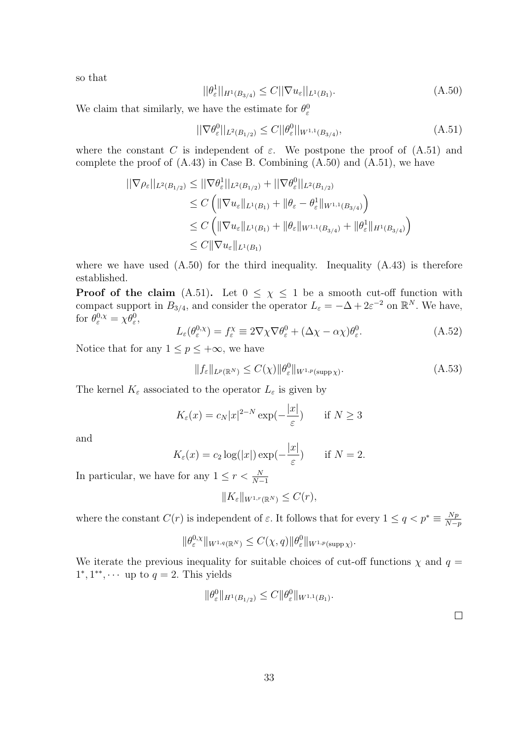so that

$$
||\theta_{\varepsilon}^{1}||_{H^{1}(B_{3/4})} \leq C||\nabla u_{\varepsilon}||_{L^{1}(B_{1})}.
$$
\n(A.50)

We claim that similarly, we have the estimate for  $\theta_{\varepsilon}^0$ 

$$
||\nabla \theta_{\varepsilon}^{0}||_{L^{2}(B_{1/2})} \leq C||\theta_{\varepsilon}^{0}||_{W^{1,1}(B_{3/4})}, \tag{A.51}
$$

where the constant C is independent of  $\varepsilon$ . We postpone the proof of  $(A.51)$  and complete the proof of  $(A.43)$  in Case B. Combining  $(A.50)$  and  $(A.51)$ , we have

$$
\begin{aligned} ||\nabla \rho_{\varepsilon}||_{L^{2}(B_{1/2})} &\leq ||\nabla \theta_{\varepsilon}^{1}||_{L^{2}(B_{1/2})} + ||\nabla \theta_{\varepsilon}^{0}||_{L^{2}(B_{1/2})} \\ &\leq C \left( \|\nabla u_{\varepsilon}||_{L^{1}(B_{1})} + \|\theta_{\varepsilon} - \theta_{\varepsilon}^{1}||_{W^{1,1}(B_{3/4})} \right) \\ &\leq C \left( \|\nabla u_{\varepsilon}||_{L^{1}(B_{1})} + \|\theta_{\varepsilon}||_{W^{1,1}(B_{3/4})} + \|\theta_{\varepsilon}^{1}||_{H^{1}(B_{3/4})} \right) \\ &\leq C \|\nabla u_{\varepsilon}||_{L^{1}(B_{1})} \end{aligned}
$$

where we have used  $(A.50)$  for the third inequality. Inequality  $(A.43)$  is therefore established.

**Proof of the claim** (A.51). Let  $0 \leq \chi \leq 1$  be a smooth cut-off function with compact support in  $B_{3/4}$ , and consider the operator  $L_{\varepsilon} = -\Delta + 2\varepsilon^{-2}$  on  $\mathbb{R}^N$ . We have, for  $\theta_{\varepsilon}^{0,\chi} = \chi \theta_{\varepsilon}^0$ ,

$$
L_{\varepsilon}(\theta_{\varepsilon}^{0,\chi}) = f_{\varepsilon}^{\chi} \equiv 2\nabla\chi\nabla\theta_{\varepsilon}^{0} + (\Delta\chi - \alpha\chi)\theta_{\varepsilon}^{0}.
$$
 (A.52)

Notice that for any  $1 \leq p \leq +\infty$ , we have

$$
||f_{\varepsilon}||_{L^{p}(\mathbb{R}^{N})} \leq C(\chi)||\theta_{\varepsilon}^{0}||_{W^{1,p}(\text{supp}\,\chi)}.
$$
\n(A.53)

The kernel  $K_{\varepsilon}$  associated to the operator  $L_{\varepsilon}$  is given by

$$
K_{\varepsilon}(x) = c_N |x|^{2-N} \exp(-\frac{|x|}{\varepsilon}) \quad \text{if } N \ge 3
$$

and

$$
K_{\varepsilon}(x) = c_2 \log(|x|) \exp(-\frac{|x|}{\varepsilon}) \quad \text{if } N = 2.
$$

In particular, we have for any  $1 \leq r < \frac{N}{N-1}$ 

$$
||K_{\varepsilon}||_{W^{1,r}(\mathbb{R}^N)} \leq C(r),
$$

where the constant  $C(r)$  is independent of  $\varepsilon$ . It follows that for every  $1 \leq q < p^* \equiv \frac{Np}{N-1}$  $N-p$ 

$$
\|\theta_{\varepsilon}^{0,\chi}\|_{W^{1,q}(\mathbb{R}^N)} \leq C(\chi,q) \|\theta_{\varepsilon}^0\|_{W^{1,p}(\text{supp}\,\chi)}.
$$

We iterate the previous inequality for suitable choices of cut-off functions  $\chi$  and  $q =$  $1^*, 1^{**}, \cdots$  up to  $q = 2$ . This yields

$$
\|\theta_{\varepsilon}^{0}\|_{H^{1}(B_{1/2})} \leq C \|\theta_{\varepsilon}^{0}\|_{W^{1,1}(B_{1})}.
$$

 $\Box$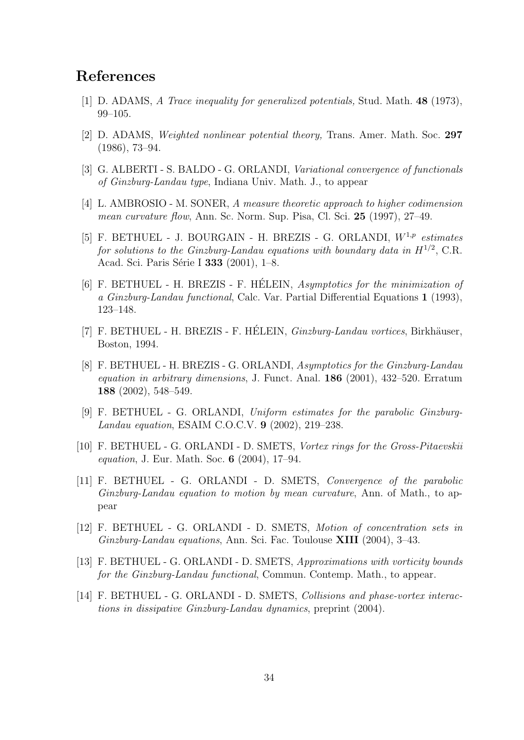# References

- [1] D. ADAMS, A Trace inequality for generalized potentials, Stud. Math. 48 (1973), 99–105.
- [2] D. ADAMS, Weighted nonlinear potential theory, Trans. Amer. Math. Soc. 297 (1986), 73–94.
- [3] G. ALBERTI S. BALDO G. ORLANDI, Variational convergence of functionals of Ginzburg-Landau type, Indiana Univ. Math. J., to appear
- [4] L. AMBROSIO M. SONER, A measure theoretic approach to higher codimension mean curvature flow, Ann. Sc. Norm. Sup. Pisa, Cl. Sci. 25 (1997), 27–49.
- [5] F. BETHUEL J. BOURGAIN H. BREZIS G. ORLANDI,  $W^{1,p}$  estimates for solutions to the Ginzburg-Landau equations with boundary data in  $H^{1/2}$ , C.R. Acad. Sci. Paris Série I 333 (2001), 1–8.
- [6] F. BETHUEL H. BREZIS F. HÉLEIN, *Asymptotics for the minimization of* a Ginzburg-Landau functional, Calc. Var. Partial Differential Equations 1 (1993), 123–148.
- [7] F. BETHUEL H. BREZIS F. HÉLEIN, *Ginzburg-Landau vortices*, Birkhäuser, Boston, 1994.
- [8] F. BETHUEL H. BREZIS G. ORLANDI, Asymptotics for the Ginzburg-Landau equation in arbitrary dimensions, J. Funct. Anal. 186 (2001), 432–520. Erratum 188 (2002), 548–549.
- [9] F. BETHUEL G. ORLANDI, Uniform estimates for the parabolic Ginzburg-Landau equation, ESAIM C.O.C.V. 9 (2002), 219–238.
- [10] F. BETHUEL G. ORLANDI D. SMETS, Vortex rings for the Gross-Pitaevskii equation, J. Eur. Math. Soc. 6 (2004), 17–94.
- [11] F. BETHUEL G. ORLANDI D. SMETS, Convergence of the parabolic Ginzburg-Landau equation to motion by mean curvature, Ann. of Math., to appear
- [12] F. BETHUEL G. ORLANDI D. SMETS, Motion of concentration sets in Ginzburg-Landau equations, Ann. Sci. Fac. Toulouse XIII (2004), 3–43.
- [13] F. BETHUEL G. ORLANDI D. SMETS, Approximations with vorticity bounds for the Ginzburg-Landau functional, Commun. Contemp. Math., to appear.
- [14] F. BETHUEL G. ORLANDI D. SMETS, Collisions and phase-vortex interactions in dissipative Ginzburg-Landau dynamics, preprint (2004).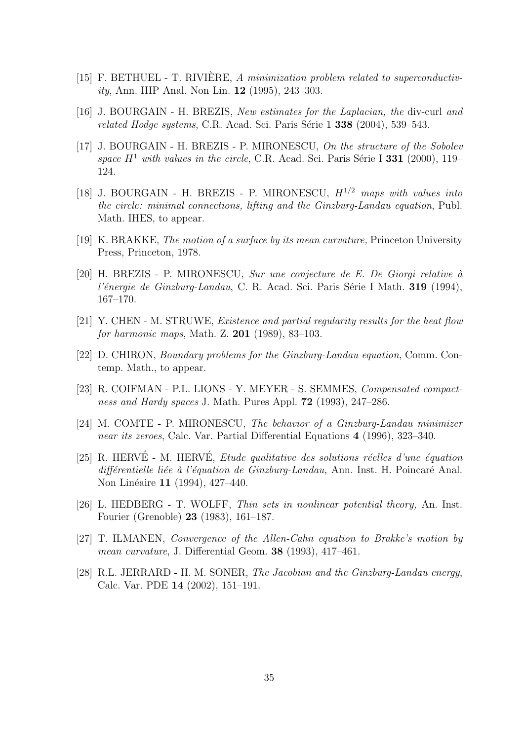- [15] F. BETHUEL T. RIVIÈRE, A minimization problem related to superconductivity, Ann. IHP Anal. Non Lin. 12 (1995), 243–303.
- [16] J. BOURGAIN H. BREZIS, New estimates for the Laplacian, the div-curl and related Hodge systems, C.R. Acad. Sci. Paris Série  $1\,338$  (2004), 539–543.
- [17] J. BOURGAIN H. BREZIS P. MIRONESCU, On the structure of the Sobolev space  $H^1$  with values in the circle, C.R. Acad. Sci. Paris Série I 331 (2000), 119– 124.
- [18] J. BOURGAIN H. BREZIS P. MIRONESCU,  $H^{1/2}$  maps with values into the circle: minimal connections, lifting and the Ginzburg-Landau equation, Publ. Math. IHES, to appear.
- [19] K. BRAKKE, The motion of a surface by its mean curvature, Princeton University Press, Princeton, 1978.
- $[20]$  H. BREZIS P. MIRONESCU, *Sur une conjecture de E. De Giorgi relative* à l'énergie de Ginzburg-Landau, C. R. Acad. Sci. Paris Série I Math.  $319$  (1994), 167–170.
- [21] Y. CHEN M. STRUWE, Existence and partial regularity results for the heat flow for harmonic maps, Math. Z. 201 (1989), 83–103.
- [22] D. CHIRON, Boundary problems for the Ginzburg-Landau equation, Comm. Contemp. Math., to appear.
- [23] R. COIFMAN P.L. LIONS Y. MEYER S. SEMMES, Compensated compactness and Hardy spaces J. Math. Pures Appl. **72** (1993), 247–286.
- [24] M. COMTE P. MIRONESCU, The behavior of a Ginzburg-Landau minimizer near its zeroes, Calc. Var. Partial Differential Equations 4 (1996), 323–340.
- [25] R. HERVÉ M. HERVÉ. *Etude qualitative des solutions réelles d'une équation* différentielle liée à l'équation de Ginzburg-Landau, Ann. Inst. H. Poincaré Anal. Non Linéaire 11 (1994), 427–440.
- [26] L. HEDBERG T. WOLFF, Thin sets in nonlinear potential theory, An. Inst. Fourier (Grenoble) 23 (1983), 161–187.
- [27] T. ILMANEN, Convergence of the Allen-Cahn equation to Brakke's motion by mean curvature, J. Differential Geom. 38 (1993), 417–461.
- [28] R.L. JERRARD H. M. SONER, The Jacobian and the Ginzburg-Landau energy, Calc. Var. PDE 14 (2002), 151–191.